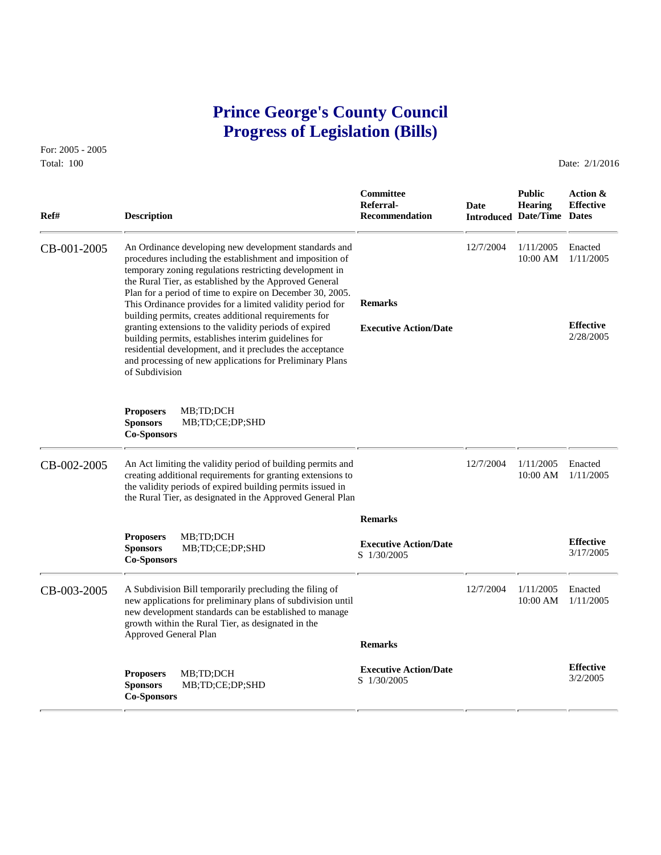## **Prince George's County Council Progress of Legislation (Bills)**

For: 2005 - 2005 Total: 100 Date: 2/1/2016

 **Committee Public Action & Referral- Date Hearing Effective Ref# Description Recommendation Introduced Date/Time Dates** CB-001-2005 An Ordinance developing new development standards and 12/7/2004 1/11/2005 Enacted procedures including the establishment and imposition of 10:00 AM 1/11/2005 procedures including the establishment and imposition of temporary zoning regulations restricting development in the Rural Tier, as established by the Approved General Plan for a period of time to expire on December 30, 2005. This Ordinance provides for a limited validity period for **Remarks** building permits, creates additional requirements for granting extensions to the validity periods of expired **Executive Action/Date Effective** Effective<br>
building permits establishes interim quidelines for building permits, establishes interim guidelines for residential development, and it precludes the acceptance and processing of new applications for Preliminary Plans of Subdivision **Proposers** MB;TD;DCH **Sponsors** MB;TD;CE;DP;SHD **Co-Sponsors**  CB-002-2005 An Act limiting the validity period of building permits and 12/7/2004 1/11/2005 Enacted creating additional requirements for granting extensions to 10:00 AM 1/11/2005 creating additional requirements for granting extensions to the validity periods of expired building permits issued in the Rural Tier, as designated in the Approved General Plan  **Remarks Proposers MB;TD;DCH <b>Executive Action/Date Effective Sponsors MB;TD;CE;DP;SHD S** 1/30/2005 3/17/2005 3/17/2005 CB-003-2005 A Subdivision Bill temporarily precluding the filing of 12/7/2004 1/11/2005 Enacted<br>new applications for preliminary plans of subdivision until 10:00 AM 1/11/2005 new applications for preliminary plans of subdivision until new development standards can be established to manage growth within the Rural Tier, as designated in the Approved General Plan  **Remarks Executive Action/Date Effective Sponsors MB;TD;DCH S** 1/30/2005 **Sponsors MB;TD;CE;DP;SHD S** 1/30/2005 **Co-Sponsors**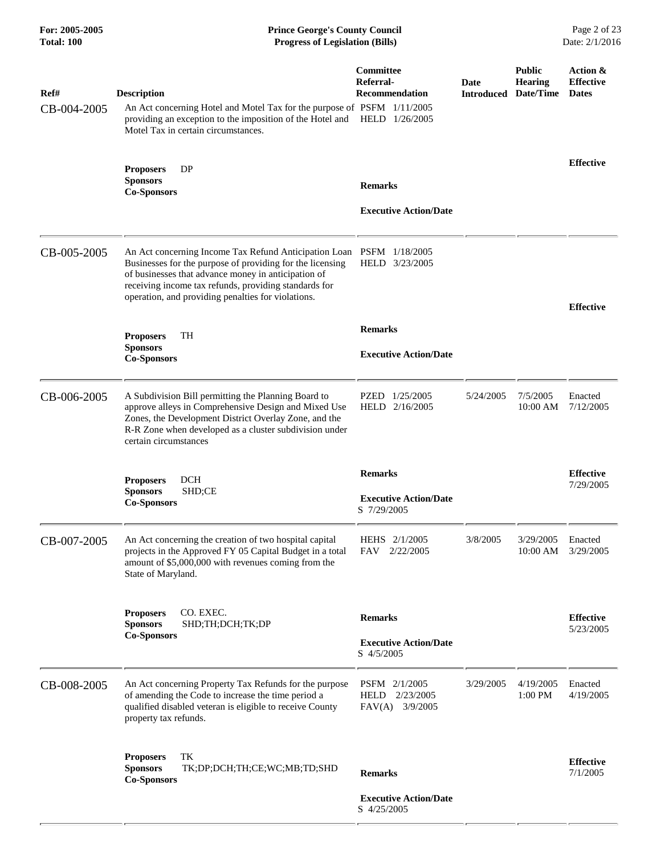| For: 2005-2005<br><b>Total: 100</b> | <b>Prince George's County Council</b><br><b>Progress of Legislation (Bills)</b>                                                                                                                                                                                                                         |                                                               |                           |                                              | Page 2 of 23<br>Date: 2/1/2016               |  |
|-------------------------------------|---------------------------------------------------------------------------------------------------------------------------------------------------------------------------------------------------------------------------------------------------------------------------------------------------------|---------------------------------------------------------------|---------------------------|----------------------------------------------|----------------------------------------------|--|
| Ref#<br>CB-004-2005                 | <b>Description</b><br>An Act concerning Hotel and Motel Tax for the purpose of PSFM 1/11/2005<br>providing an exception to the imposition of the Hotel and HELD 1/26/2005<br>Motel Tax in certain circumstances.                                                                                        | <b>Committee</b><br>Referral-<br><b>Recommendation</b>        | Date<br><b>Introduced</b> | <b>Public</b><br><b>Hearing</b><br>Date/Time | Action &<br><b>Effective</b><br><b>Dates</b> |  |
|                                     | DP<br><b>Proposers</b><br><b>Sponsors</b><br><b>Co-Sponsors</b>                                                                                                                                                                                                                                         | <b>Remarks</b><br><b>Executive Action/Date</b>                |                           |                                              | <b>Effective</b>                             |  |
| CB-005-2005                         | An Act concerning Income Tax Refund Anticipation Loan PSFM 1/18/2005<br>Businesses for the purpose of providing for the licensing<br>of businesses that advance money in anticipation of<br>receiving income tax refunds, providing standards for<br>operation, and providing penalties for violations. | HELD 3/23/2005                                                |                           |                                              | <b>Effective</b>                             |  |
|                                     | TH<br><b>Proposers</b><br><b>Sponsors</b><br><b>Co-Sponsors</b>                                                                                                                                                                                                                                         | <b>Remarks</b><br><b>Executive Action/Date</b>                |                           |                                              |                                              |  |
| CB-006-2005                         | A Subdivision Bill permitting the Planning Board to<br>approve alleys in Comprehensive Design and Mixed Use<br>Zones, the Development District Overlay Zone, and the<br>R-R Zone when developed as a cluster subdivision under<br>certain circumstances                                                 | PZED 1/25/2005<br>HELD 2/16/2005                              | 5/24/2005                 | 7/5/2005<br>10:00 AM                         | Enacted<br>7/12/2005                         |  |
|                                     | <b>DCH</b><br><b>Proposers</b><br>SHD;CE<br><b>Sponsors</b><br><b>Co-Sponsors</b>                                                                                                                                                                                                                       | <b>Remarks</b><br><b>Executive Action/Date</b><br>S 7/29/2005 |                           |                                              | <b>Effective</b><br>7/29/2005                |  |
| CB-007-2005                         | An Act concerning the creation of two hospital capital<br>projects in the Approved FY 05 Capital Budget in a total<br>amount of \$5,000,000 with revenues coming from the<br>State of Maryland.                                                                                                         | HEHS 2/1/2005<br>2/22/2005<br>FAV.                            | 3/8/2005                  | 3/29/2005<br>10:00 AM                        | Enacted<br>3/29/2005                         |  |
|                                     | CO. EXEC.<br><b>Proposers</b><br>SHD;TH;DCH;TK;DP<br><b>Sponsors</b><br><b>Co-Sponsors</b>                                                                                                                                                                                                              | <b>Remarks</b><br><b>Executive Action/Date</b><br>S 4/5/2005  |                           |                                              | <b>Effective</b><br>5/23/2005                |  |
| CB-008-2005                         | An Act concerning Property Tax Refunds for the purpose<br>of amending the Code to increase the time period a<br>qualified disabled veteran is eligible to receive County<br>property tax refunds.                                                                                                       | PSFM 2/1/2005<br>2/23/2005<br>HELD<br>FAV(A)<br>3/9/2005      | 3/29/2005                 | 4/19/2005<br>1:00 PM                         | Enacted<br>4/19/2005                         |  |
|                                     | TK<br><b>Proposers</b><br><b>Sponsors</b><br>TK;DP;DCH;TH;CE;WC;MB;TD;SHD<br><b>Co-Sponsors</b>                                                                                                                                                                                                         | <b>Remarks</b>                                                |                           |                                              | <b>Effective</b><br>7/1/2005                 |  |
|                                     |                                                                                                                                                                                                                                                                                                         | <b>Executive Action/Date</b><br>S 4/25/2005                   |                           |                                              |                                              |  |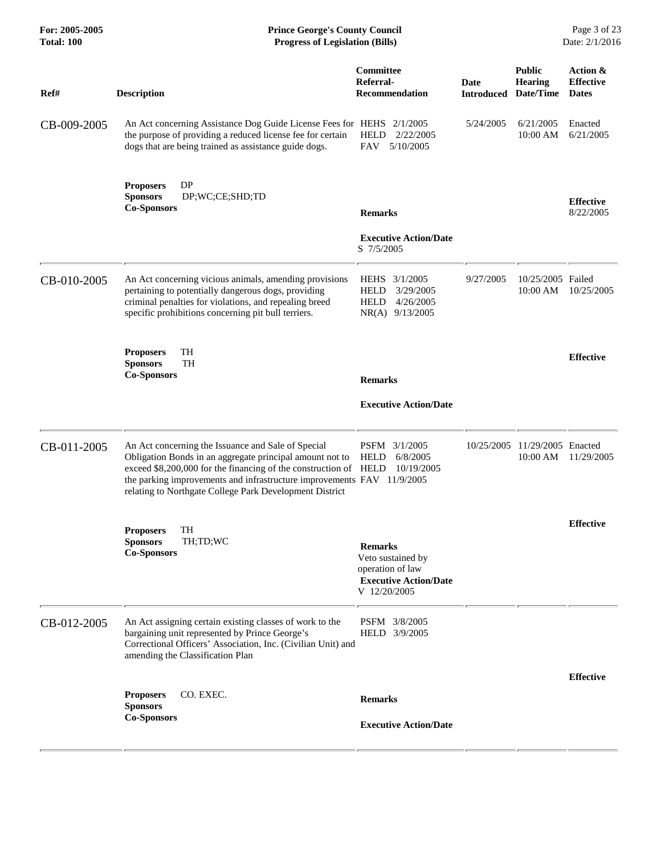| For: 2005-2005<br><b>Total: 100</b> | <b>Prince George's County Council</b><br><b>Progress of Legislation (Bills)</b>                                                                                                                                                                                                                                         |                                                                                                         |                                            |                                  | Page 3 of 23<br>Date: 2/1/2016               |
|-------------------------------------|-------------------------------------------------------------------------------------------------------------------------------------------------------------------------------------------------------------------------------------------------------------------------------------------------------------------------|---------------------------------------------------------------------------------------------------------|--------------------------------------------|----------------------------------|----------------------------------------------|
| Ref#                                | <b>Description</b>                                                                                                                                                                                                                                                                                                      | <b>Committee</b><br>Referral-<br><b>Recommendation</b>                                                  | <b>Date</b><br><b>Introduced Date/Time</b> | <b>Public</b><br>Hearing         | Action &<br><b>Effective</b><br><b>Dates</b> |
| CB-009-2005                         | An Act concerning Assistance Dog Guide License Fees for HEHS 2/1/2005<br>the purpose of providing a reduced license fee for certain<br>dogs that are being trained as assistance guide dogs.                                                                                                                            | 2/22/2005<br><b>HELD</b><br>5/10/2005<br>FAV                                                            | 5/24/2005                                  | 6/21/2005<br>10:00 AM            | Enacted<br>6/21/2005                         |
|                                     | <b>Proposers</b><br>DP<br><b>Sponsors</b><br>DP;WC;CE;SHD;TD<br><b>Co-Sponsors</b>                                                                                                                                                                                                                                      | <b>Remarks</b>                                                                                          |                                            |                                  | <b>Effective</b><br>8/22/2005                |
|                                     |                                                                                                                                                                                                                                                                                                                         | <b>Executive Action/Date</b><br>S 7/5/2005                                                              |                                            |                                  |                                              |
| CB-010-2005                         | An Act concerning vicious animals, amending provisions<br>pertaining to potentially dangerous dogs, providing<br>criminal penalties for violations, and repealing breed<br>specific prohibitions concerning pit bull terriers.                                                                                          | HEHS 3/1/2005<br>3/29/2005<br><b>HELD</b><br>4/26/2005<br><b>HELD</b><br>NR(A) 9/13/2005                | 9/27/2005                                  | 10/25/2005 Failed<br>10:00 AM    | 10/25/2005                                   |
|                                     | TH<br><b>Proposers</b><br><b>Sponsors</b><br><b>TH</b><br><b>Co-Sponsors</b>                                                                                                                                                                                                                                            | <b>Remarks</b>                                                                                          |                                            |                                  | <b>Effective</b>                             |
|                                     |                                                                                                                                                                                                                                                                                                                         | <b>Executive Action/Date</b>                                                                            |                                            |                                  |                                              |
| CB-011-2005                         | An Act concerning the Issuance and Sale of Special<br>Obligation Bonds in an aggregate principal amount not to<br>exceed \$8,200,000 for the financing of the construction of HELD<br>the parking improvements and infrastructure improvements FAV 11/9/2005<br>relating to Northgate College Park Development District | PSFM 3/1/2005<br><b>HELD</b><br>6/8/2005<br>10/19/2005                                                  | 10/25/2005                                 | 11/29/2005 Enacted<br>$10:00$ AM | 11/29/2005                                   |
|                                     | TH<br><b>Proposers</b><br><b>Sponsors</b><br>TH;TD;WC<br><b>Co-Sponsors</b>                                                                                                                                                                                                                                             | <b>Remarks</b><br>Veto sustained by<br>operation of law<br><b>Executive Action/Date</b><br>V 12/20/2005 |                                            |                                  | <b>Effective</b>                             |
| CB-012-2005                         | An Act assigning certain existing classes of work to the<br>bargaining unit represented by Prince George's<br>Correctional Officers' Association, Inc. (Civilian Unit) and<br>amending the Classification Plan                                                                                                          | PSFM 3/8/2005<br>HELD 3/9/2005                                                                          |                                            |                                  |                                              |
|                                     | <b>Proposers</b><br>CO. EXEC.                                                                                                                                                                                                                                                                                           | <b>Remarks</b>                                                                                          |                                            |                                  | <b>Effective</b>                             |
|                                     | <b>Sponsors</b><br><b>Co-Sponsors</b>                                                                                                                                                                                                                                                                                   | <b>Executive Action/Date</b>                                                                            |                                            |                                  |                                              |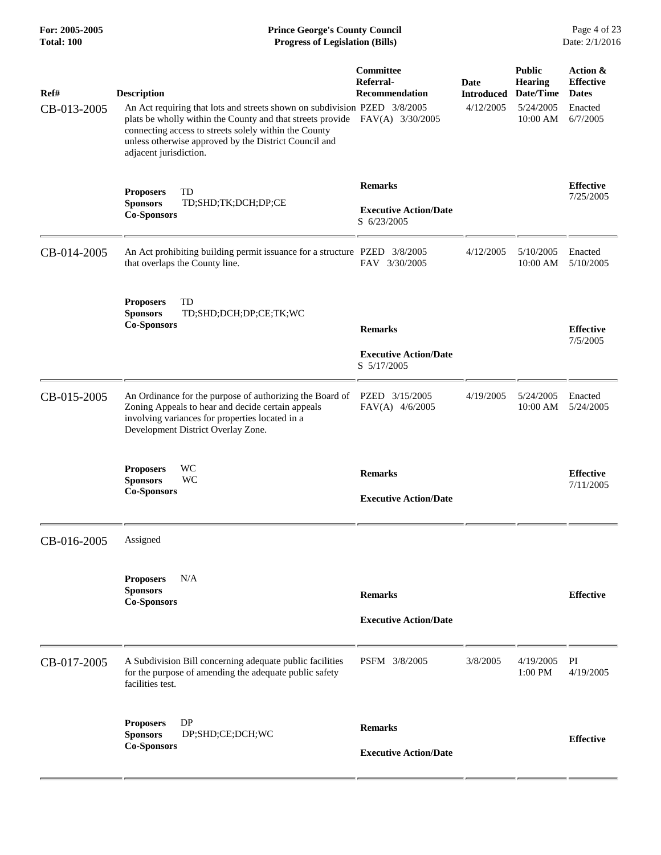| For: 2005-2005<br>Total: 100 | <b>Prince George's County Council</b><br>Date: 2/1/2016<br><b>Progress of Legislation (Bills)</b>                                                                                                                                                                                                                          |                                                               |                                        |                                                                       |                                                                     |
|------------------------------|----------------------------------------------------------------------------------------------------------------------------------------------------------------------------------------------------------------------------------------------------------------------------------------------------------------------------|---------------------------------------------------------------|----------------------------------------|-----------------------------------------------------------------------|---------------------------------------------------------------------|
| Ref#<br>CB-013-2005          | <b>Description</b><br>An Act requiring that lots and streets shown on subdivision PZED 3/8/2005<br>plats be wholly within the County and that streets provide FAV(A) 3/30/2005<br>connecting access to streets solely within the County<br>unless otherwise approved by the District Council and<br>adjacent jurisdiction. | Committee<br>Referral-<br><b>Recommendation</b>               | Date<br><b>Introduced</b><br>4/12/2005 | <b>Public</b><br><b>Hearing</b><br>Date/Time<br>5/24/2005<br>10:00 AM | Action &<br><b>Effective</b><br><b>Dates</b><br>Enacted<br>6/7/2005 |
|                              | <b>Proposers</b><br>TD<br><b>Sponsors</b><br>TD;SHD;TK;DCH;DP;CE<br><b>Co-Sponsors</b>                                                                                                                                                                                                                                     | <b>Remarks</b><br><b>Executive Action/Date</b><br>S 6/23/2005 |                                        |                                                                       | <b>Effective</b><br>7/25/2005                                       |
| CB-014-2005                  | An Act prohibiting building permit issuance for a structure PZED 3/8/2005<br>that overlaps the County line.                                                                                                                                                                                                                | FAV 3/30/2005                                                 | 4/12/2005                              | 5/10/2005<br>10:00 AM                                                 | Enacted<br>5/10/2005                                                |
|                              | <b>Proposers</b><br>TD<br><b>Sponsors</b><br>TD;SHD;DCH;DP;CE;TK;WC<br><b>Co-Sponsors</b>                                                                                                                                                                                                                                  | <b>Remarks</b><br><b>Executive Action/Date</b><br>S 5/17/2005 |                                        |                                                                       | <b>Effective</b><br>7/5/2005                                        |
| CB-015-2005                  | An Ordinance for the purpose of authorizing the Board of<br>Zoning Appeals to hear and decide certain appeals<br>involving variances for properties located in a<br>Development District Overlay Zone.                                                                                                                     | PZED 3/15/2005<br>$FAV(A)$ 4/6/2005                           | 4/19/2005                              | 5/24/2005<br>10:00 AM                                                 | Enacted<br>5/24/2005                                                |
|                              | WC<br><b>Proposers</b><br><b>Sponsors</b><br>WC<br><b>Co-Sponsors</b>                                                                                                                                                                                                                                                      | <b>Remarks</b><br><b>Executive Action/Date</b>                |                                        |                                                                       | <b>Effective</b><br>7/11/2005                                       |
| CB-016-2005                  | Assigned                                                                                                                                                                                                                                                                                                                   |                                                               |                                        |                                                                       |                                                                     |
|                              | N/A<br><b>Proposers</b><br><b>Sponsors</b><br><b>Co-Sponsors</b>                                                                                                                                                                                                                                                           | <b>Remarks</b><br><b>Executive Action/Date</b>                |                                        |                                                                       | <b>Effective</b>                                                    |
| CB-017-2005                  | A Subdivision Bill concerning adequate public facilities<br>for the purpose of amending the adequate public safety<br>facilities test.                                                                                                                                                                                     | PSFM 3/8/2005                                                 | 3/8/2005                               | 4/19/2005<br>$1:00$ PM                                                | PI<br>4/19/2005                                                     |
|                              | DP<br><b>Proposers</b><br>DP;SHD;CE;DCH;WC<br><b>Sponsors</b><br><b>Co-Sponsors</b>                                                                                                                                                                                                                                        | <b>Remarks</b><br><b>Executive Action/Date</b>                |                                        |                                                                       | <b>Effective</b>                                                    |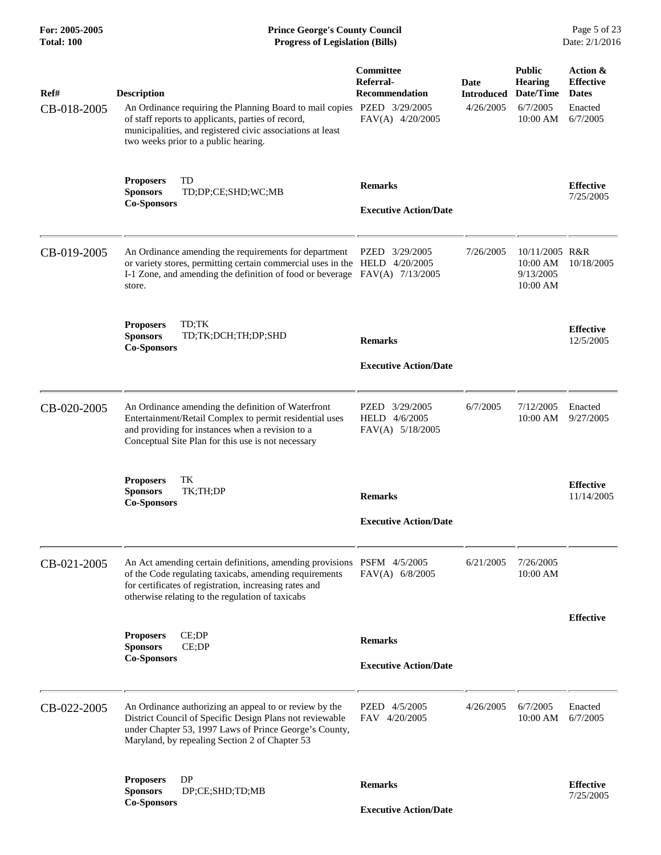| For: 2005-2005<br>Total: 100 | <b>Prince George's County Council</b><br><b>Progress of Legislation (Bills)</b>                                                                                                                                                                           |                                                                     |                                        |                                                                      |                                                                     |
|------------------------------|-----------------------------------------------------------------------------------------------------------------------------------------------------------------------------------------------------------------------------------------------------------|---------------------------------------------------------------------|----------------------------------------|----------------------------------------------------------------------|---------------------------------------------------------------------|
| Ref#<br>CB-018-2005          | <b>Description</b><br>An Ordinance requiring the Planning Board to mail copies PZED 3/29/2005<br>of staff reports to applicants, parties of record,<br>municipalities, and registered civic associations at least<br>two weeks prior to a public hearing. | Committee<br>Referral-<br><b>Recommendation</b><br>FAV(A) 4/20/2005 | Date<br><b>Introduced</b><br>4/26/2005 | <b>Public</b><br><b>Hearing</b><br>Date/Time<br>6/7/2005<br>10:00 AM | Action &<br><b>Effective</b><br><b>Dates</b><br>Enacted<br>6/7/2005 |
|                              | TD<br><b>Proposers</b><br><b>Sponsors</b><br>TD;DP;CE;SHD;WC;MB<br><b>Co-Sponsors</b>                                                                                                                                                                     | <b>Remarks</b><br><b>Executive Action/Date</b>                      |                                        |                                                                      | <b>Effective</b><br>7/25/2005                                       |
| CB-019-2005                  | An Ordinance amending the requirements for department<br>or variety stores, permitting certain commercial uses in the HELD 4/20/2005<br>I-1 Zone, and amending the definition of food or beverage FAV(A) 7/13/2005<br>store.                              | PZED 3/29/2005                                                      | 7/26/2005                              | 10/11/2005 R&R<br>10:00 AM<br>9/13/2005<br>10:00 AM                  | 10/18/2005                                                          |
|                              | TD;TK<br><b>Proposers</b><br><b>Sponsors</b><br>TD;TK;DCH;TH;DP;SHD<br><b>Co-Sponsors</b>                                                                                                                                                                 | <b>Remarks</b><br><b>Executive Action/Date</b>                      |                                        |                                                                      | <b>Effective</b><br>12/5/2005                                       |
| CB-020-2005                  | An Ordinance amending the definition of Waterfront<br>Entertainment/Retail Complex to permit residential uses<br>and providing for instances when a revision to a<br>Conceptual Site Plan for this use is not necessary                                   | PZED 3/29/2005<br>HELD 4/6/2005<br>FAV(A) 5/18/2005                 | 6/7/2005                               | 7/12/2005<br>10:00 AM                                                | Enacted<br>9/27/2005                                                |
|                              | TK<br><b>Proposers</b><br>TK;TH;DP<br><b>Sponsors</b><br><b>Co-Sponsors</b>                                                                                                                                                                               | <b>Remarks</b><br><b>Executive Action/Date</b>                      |                                        |                                                                      | <b>Effective</b><br>11/14/2005                                      |
| CB-021-2005                  | An Act amending certain definitions, amending provisions PSFM 4/5/2005<br>of the Code regulating taxicabs, amending requirements<br>for certificates of registration, increasing rates and<br>otherwise relating to the regulation of taxicabs            | FAV(A) 6/8/2005                                                     | 6/21/2005                              | 7/26/2005<br>10:00 AM                                                |                                                                     |
|                              | CE:DP<br><b>Proposers</b><br>CE;DP<br><b>Sponsors</b><br><b>Co-Sponsors</b>                                                                                                                                                                               | <b>Remarks</b><br><b>Executive Action/Date</b>                      |                                        |                                                                      | <b>Effective</b>                                                    |
| CB-022-2005                  | An Ordinance authorizing an appeal to or review by the<br>District Council of Specific Design Plans not reviewable<br>under Chapter 53, 1997 Laws of Prince George's County,<br>Maryland, by repealing Section 2 of Chapter 53                            | PZED 4/5/2005<br>FAV 4/20/2005                                      | 4/26/2005                              | 6/7/2005<br>10:00 AM                                                 | Enacted<br>6/7/2005                                                 |
|                              | DP<br><b>Proposers</b><br><b>Sponsors</b><br>DP;CE;SHD;TD;MB<br><b>Co-Sponsors</b>                                                                                                                                                                        | <b>Remarks</b><br><b>Executive Action/Date</b>                      |                                        |                                                                      | <b>Effective</b><br>7/25/2005                                       |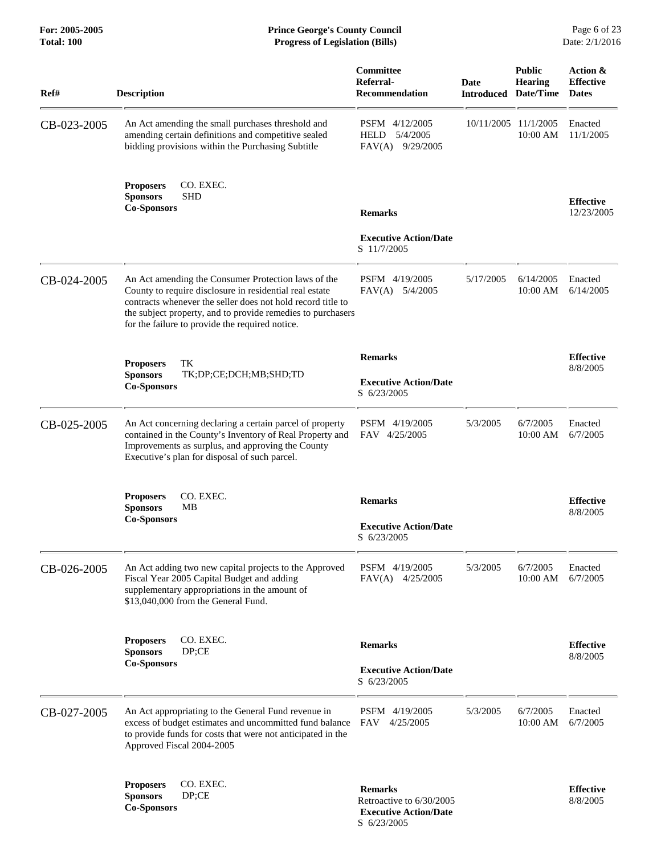| Ref#        | <b>Description</b>                                                                                                                                                                                                                                                                              | Committee<br>Referral-<br><b>Recommendation</b>                            | Date<br><b>Introduced</b> | <b>Public</b><br><b>Hearing</b><br>Date/Time | Action &<br><b>Effective</b><br><b>Dates</b> |
|-------------|-------------------------------------------------------------------------------------------------------------------------------------------------------------------------------------------------------------------------------------------------------------------------------------------------|----------------------------------------------------------------------------|---------------------------|----------------------------------------------|----------------------------------------------|
| CB-023-2005 | An Act amending the small purchases threshold and<br>amending certain definitions and competitive sealed<br>bidding provisions within the Purchasing Subtitle                                                                                                                                   | PSFM 4/12/2005<br>5/4/2005<br><b>HELD</b><br>FAV(A) 9/29/2005              | 10/11/2005                | 11/1/2005<br>10:00 AM                        | Enacted<br>11/1/2005                         |
|             | CO. EXEC.<br><b>Proposers</b><br><b>Sponsors</b><br><b>SHD</b><br><b>Co-Sponsors</b>                                                                                                                                                                                                            | <b>Remarks</b>                                                             |                           |                                              | <b>Effective</b><br>12/23/2005               |
|             |                                                                                                                                                                                                                                                                                                 | <b>Executive Action/Date</b><br>S 11/7/2005                                |                           |                                              |                                              |
| CB-024-2005 | An Act amending the Consumer Protection laws of the<br>County to require disclosure in residential real estate<br>contracts whenever the seller does not hold record title to<br>the subject property, and to provide remedies to purchasers<br>for the failure to provide the required notice. | PSFM 4/19/2005<br>$FAV(A)$ 5/4/2005                                        | 5/17/2005                 | 6/14/2005<br>10:00 AM                        | Enacted<br>6/14/2005                         |
|             | TK<br><b>Proposers</b><br><b>Sponsors</b><br>TK;DP;CE;DCH;MB;SHD;TD<br><b>Co-Sponsors</b>                                                                                                                                                                                                       | <b>Remarks</b><br><b>Executive Action/Date</b><br>S 6/23/2005              |                           |                                              | <b>Effective</b><br>8/8/2005                 |
| CB-025-2005 | An Act concerning declaring a certain parcel of property<br>contained in the County's Inventory of Real Property and<br>Improvements as surplus, and approving the County<br>Executive's plan for disposal of such parcel.                                                                      | PSFM 4/19/2005<br>FAV 4/25/2005                                            | 5/3/2005                  | 6/7/2005<br>10:00 AM                         | Enacted<br>6/7/2005                          |
|             | CO. EXEC.<br><b>Proposers</b><br><b>Sponsors</b><br>MВ                                                                                                                                                                                                                                          | <b>Remarks</b>                                                             |                           |                                              | <b>Effective</b>                             |
|             | <b>Co-Sponsors</b>                                                                                                                                                                                                                                                                              | <b>Executive Action/Date</b><br>S 6/23/2005                                |                           |                                              | 8/8/2005                                     |
| CB-026-2005 | An Act adding two new capital projects to the Approved<br>Fiscal Year 2005 Capital Budget and adding<br>supplementary appropriations in the amount of<br>\$13,040,000 from the General Fund.                                                                                                    | PSFM 4/19/2005<br>FAV(A)<br>4/25/2005                                      | 5/3/2005                  | 6/7/2005<br>10:00 AM                         | Enacted<br>6/7/2005                          |
|             | CO. EXEC.<br><b>Proposers</b><br>DP;CE<br><b>Sponsors</b>                                                                                                                                                                                                                                       | <b>Remarks</b>                                                             |                           |                                              | <b>Effective</b>                             |
|             | <b>Co-Sponsors</b>                                                                                                                                                                                                                                                                              | <b>Executive Action/Date</b><br>S 6/23/2005                                |                           |                                              | 8/8/2005                                     |
| CB-027-2005 | An Act appropriating to the General Fund revenue in<br>excess of budget estimates and uncommitted fund balance<br>to provide funds for costs that were not anticipated in the<br>Approved Fiscal 2004-2005                                                                                      | PSFM 4/19/2005<br>4/25/2005<br><b>FAV</b>                                  | 5/3/2005                  | 6/7/2005<br>10:00 AM                         | Enacted<br>6/7/2005                          |
|             | <b>Proposers</b><br>CO. EXEC.<br>DP;CE<br><b>Sponsors</b><br><b>Co-Sponsors</b>                                                                                                                                                                                                                 | <b>Remarks</b><br>Retroactive to 6/30/2005<br><b>Executive Action/Date</b> |                           |                                              | <b>Effective</b><br>8/8/2005                 |

S 6/23/2005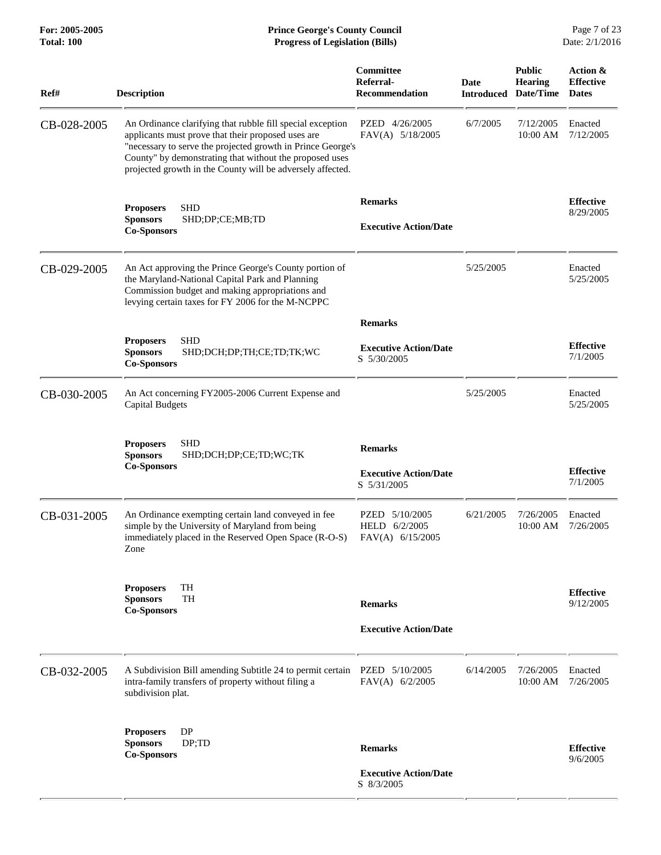| Ref#        | <b>Description</b>                                                                                                                                                                                                                                                                                       | Committee<br>Referral-<br><b>Recommendation</b>     | Date<br><b>Introduced</b> | <b>Public</b><br><b>Hearing</b><br>Date/Time | Action &<br><b>Effective</b><br><b>Dates</b> |
|-------------|----------------------------------------------------------------------------------------------------------------------------------------------------------------------------------------------------------------------------------------------------------------------------------------------------------|-----------------------------------------------------|---------------------------|----------------------------------------------|----------------------------------------------|
| CB-028-2005 | An Ordinance clarifying that rubble fill special exception<br>applicants must prove that their proposed uses are<br>"necessary to serve the projected growth in Prince George's<br>County" by demonstrating that without the proposed uses<br>projected growth in the County will be adversely affected. | PZED 4/26/2005<br>FAV(A) 5/18/2005                  | 6/7/2005                  | 7/12/2005<br>10:00 AM                        | Enacted<br>7/12/2005                         |
|             | <b>SHD</b><br><b>Proposers</b><br><b>Sponsors</b><br>SHD;DP;CE;MB;TD<br><b>Co-Sponsors</b>                                                                                                                                                                                                               | <b>Remarks</b><br><b>Executive Action/Date</b>      |                           |                                              | <b>Effective</b><br>8/29/2005                |
| CB-029-2005 | An Act approving the Prince George's County portion of<br>the Maryland-National Capital Park and Planning<br>Commission budget and making appropriations and<br>levying certain taxes for FY 2006 for the M-NCPPC                                                                                        |                                                     | 5/25/2005                 |                                              | Enacted<br>5/25/2005                         |
|             |                                                                                                                                                                                                                                                                                                          | <b>Remarks</b>                                      |                           |                                              |                                              |
|             | <b>SHD</b><br><b>Proposers</b><br>SHD;DCH;DP;TH;CE;TD;TK;WC<br><b>Sponsors</b><br><b>Co-Sponsors</b>                                                                                                                                                                                                     | <b>Executive Action/Date</b><br>S 5/30/2005         |                           |                                              | <b>Effective</b><br>7/1/2005                 |
| CB-030-2005 | An Act concerning FY2005-2006 Current Expense and<br><b>Capital Budgets</b>                                                                                                                                                                                                                              |                                                     | 5/25/2005                 |                                              | Enacted<br>5/25/2005                         |
|             | <b>SHD</b><br><b>Proposers</b><br><b>Sponsors</b><br>SHD;DCH;DP;CE;TD;WC;TK<br><b>Co-Sponsors</b>                                                                                                                                                                                                        | <b>Remarks</b><br><b>Executive Action/Date</b>      |                           |                                              | <b>Effective</b>                             |
|             |                                                                                                                                                                                                                                                                                                          | S 5/31/2005                                         |                           |                                              | 7/1/2005                                     |
| CB-031-2005 | An Ordinance exempting certain land conveyed in fee<br>simple by the University of Maryland from being<br>immediately placed in the Reserved Open Space (R-O-S)<br>Zone                                                                                                                                  | PZED 5/10/2005<br>HELD 6/2/2005<br>FAV(A) 6/15/2005 | 6/21/2005                 | 7/26/2005<br>10:00 AM                        | Enacted<br>7/26/2005                         |
|             | TH<br><b>Proposers</b><br><b>TH</b><br><b>Sponsors</b><br><b>Co-Sponsors</b>                                                                                                                                                                                                                             | <b>Remarks</b>                                      |                           |                                              | <b>Effective</b><br>9/12/2005                |
|             |                                                                                                                                                                                                                                                                                                          | <b>Executive Action/Date</b>                        |                           |                                              |                                              |
|             |                                                                                                                                                                                                                                                                                                          |                                                     |                           |                                              |                                              |
| CB-032-2005 | A Subdivision Bill amending Subtitle 24 to permit certain<br>intra-family transfers of property without filing a<br>subdivision plat.                                                                                                                                                                    | PZED 5/10/2005<br>FAV(A) 6/2/2005                   | 6/14/2005                 | 7/26/2005<br>$10:00$ AM                      | Enacted<br>7/26/2005                         |
|             | DP<br><b>Proposers</b><br><b>Sponsors</b><br>DP;TD<br><b>Co-Sponsors</b>                                                                                                                                                                                                                                 | <b>Remarks</b>                                      |                           |                                              | <b>Effective</b><br>9/6/2005                 |
|             |                                                                                                                                                                                                                                                                                                          | <b>Executive Action/Date</b><br>S 8/3/2005          |                           |                                              |                                              |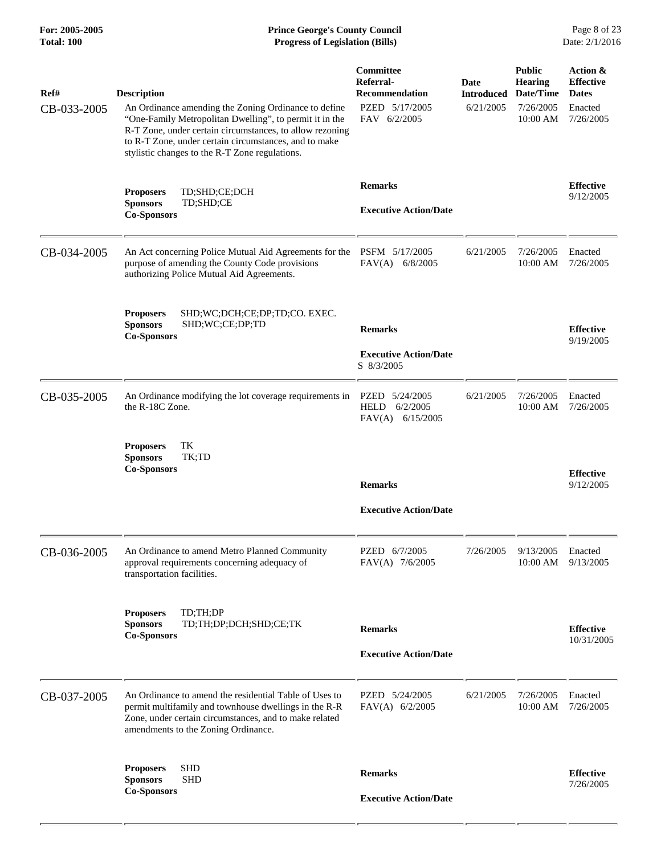| Ref#<br>CB-033-2005 | <b>Description</b><br>An Ordinance amending the Zoning Ordinance to define<br>"One-Family Metropolitan Dwelling", to permit it in the<br>R-T Zone, under certain circumstances, to allow rezoning<br>to R-T Zone, under certain circumstances, and to make<br>stylistic changes to the R-T Zone regulations. | Committee<br>Referral-<br><b>Recommendation</b><br>PZED 5/17/2005<br>FAV 6/2/2005 | Date<br><b>Introduced</b><br>6/21/2005 | <b>Public</b><br><b>Hearing</b><br>Date/Time<br>7/26/2005<br>10:00 AM | Action &<br><b>Effective</b><br><b>Dates</b><br>Enacted<br>7/26/2005 |
|---------------------|--------------------------------------------------------------------------------------------------------------------------------------------------------------------------------------------------------------------------------------------------------------------------------------------------------------|-----------------------------------------------------------------------------------|----------------------------------------|-----------------------------------------------------------------------|----------------------------------------------------------------------|
|                     | <b>Proposers</b><br>TD;SHD;CE;DCH<br><b>Sponsors</b><br>TD;SHD;CE<br><b>Co-Sponsors</b>                                                                                                                                                                                                                      | <b>Remarks</b><br><b>Executive Action/Date</b>                                    |                                        |                                                                       | <b>Effective</b><br>9/12/2005                                        |
| CB-034-2005         | An Act concerning Police Mutual Aid Agreements for the<br>purpose of amending the County Code provisions<br>authorizing Police Mutual Aid Agreements.                                                                                                                                                        | PSFM 5/17/2005<br>FAV(A)<br>6/8/2005                                              | 6/21/2005                              | 7/26/2005<br>10:00 AM                                                 | Enacted<br>7/26/2005                                                 |
|                     | SHD; WC; DCH; CE; DP; TD; CO. EXEC.<br><b>Proposers</b><br><b>Sponsors</b><br>SHD;WC;CE;DP;TD<br><b>Co-Sponsors</b>                                                                                                                                                                                          | <b>Remarks</b><br><b>Executive Action/Date</b><br>S 8/3/2005                      |                                        |                                                                       | <b>Effective</b><br>9/19/2005                                        |
| CB-035-2005         | An Ordinance modifying the lot coverage requirements in<br>the R-18C Zone.                                                                                                                                                                                                                                   | PZED<br>5/24/2005<br>HELD<br>6/2/2005<br>FAV(A) 6/15/2005                         | 6/21/2005                              | 7/26/2005<br>10:00 AM                                                 | Enacted<br>7/26/2005                                                 |
|                     | TK<br><b>Proposers</b><br><b>Sponsors</b><br>TK;TD<br><b>Co-Sponsors</b>                                                                                                                                                                                                                                     | <b>Remarks</b><br><b>Executive Action/Date</b>                                    |                                        |                                                                       | <b>Effective</b><br>9/12/2005                                        |
| CB-036-2005         | An Ordinance to amend Metro Planned Community<br>approval requirements concerning adequacy of<br>transportation facilities.                                                                                                                                                                                  | PZED 6/7/2005<br>FAV(A) 7/6/2005                                                  | 7/26/2005                              | 9/13/2005<br>10:00 AM                                                 | Enacted<br>9/13/2005                                                 |
|                     | <b>Proposers</b><br>TD;TH;DP<br>TD;TH;DP;DCH;SHD;CE;TK<br><b>Sponsors</b><br><b>Co-Sponsors</b>                                                                                                                                                                                                              | <b>Remarks</b><br><b>Executive Action/Date</b>                                    |                                        |                                                                       | <b>Effective</b><br>10/31/2005                                       |
| CB-037-2005         | An Ordinance to amend the residential Table of Uses to<br>permit multifamily and townhouse dwellings in the R-R<br>Zone, under certain circumstances, and to make related<br>amendments to the Zoning Ordinance.                                                                                             | PZED 5/24/2005<br>$FAV(A)$ 6/2/2005                                               | 6/21/2005                              | 7/26/2005<br>10:00 AM                                                 | Enacted<br>7/26/2005                                                 |
|                     | <b>SHD</b><br><b>Proposers</b><br><b>Sponsors</b><br>SHD<br><b>Co-Sponsors</b>                                                                                                                                                                                                                               | <b>Remarks</b><br><b>Executive Action/Date</b>                                    |                                        |                                                                       | <b>Effective</b><br>7/26/2005                                        |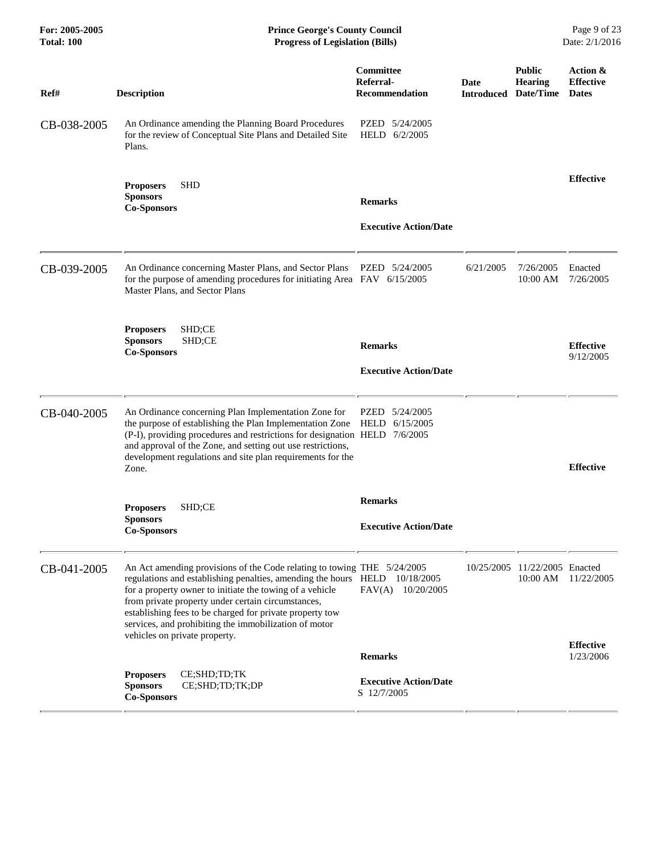| For: 2005-2005<br>Total: 100 | <b>Prince George's County Council</b><br><b>Progress of Legislation (Bills)</b>                                                                                                                                                                                                                                                                                                                                               |                                                 |                                     |                                           | Page 9 of 23<br>Date: 2/1/2016               |  |
|------------------------------|-------------------------------------------------------------------------------------------------------------------------------------------------------------------------------------------------------------------------------------------------------------------------------------------------------------------------------------------------------------------------------------------------------------------------------|-------------------------------------------------|-------------------------------------|-------------------------------------------|----------------------------------------------|--|
| Ref#                         | <b>Description</b>                                                                                                                                                                                                                                                                                                                                                                                                            | Committee<br>Referral-<br><b>Recommendation</b> | Date<br><b>Introduced Date/Time</b> | <b>Public</b><br><b>Hearing</b>           | Action &<br><b>Effective</b><br><b>Dates</b> |  |
| CB-038-2005                  | An Ordinance amending the Planning Board Procedures<br>for the review of Conceptual Site Plans and Detailed Site<br>Plans.                                                                                                                                                                                                                                                                                                    | PZED 5/24/2005<br>HELD 6/2/2005                 |                                     |                                           |                                              |  |
|                              | <b>SHD</b><br><b>Proposers</b><br><b>Sponsors</b><br><b>Co-Sponsors</b>                                                                                                                                                                                                                                                                                                                                                       | <b>Remarks</b><br><b>Executive Action/Date</b>  |                                     |                                           | <b>Effective</b>                             |  |
| CB-039-2005                  | An Ordinance concerning Master Plans, and Sector Plans<br>for the purpose of amending procedures for initiating Area FAV 6/15/2005<br>Master Plans, and Sector Plans                                                                                                                                                                                                                                                          | PZED 5/24/2005                                  | 6/21/2005                           | 7/26/2005<br>10:00 AM                     | Enacted<br>7/26/2005                         |  |
|                              | SHD;CE<br><b>Proposers</b><br><b>Sponsors</b><br>SHD;CE<br><b>Co-Sponsors</b>                                                                                                                                                                                                                                                                                                                                                 | <b>Remarks</b><br><b>Executive Action/Date</b>  |                                     |                                           | <b>Effective</b><br>9/12/2005                |  |
| CB-040-2005                  | An Ordinance concerning Plan Implementation Zone for<br>the purpose of establishing the Plan Implementation Zone HELD 6/15/2005<br>(P-I), providing procedures and restrictions for designation HELD 7/6/2005<br>and approval of the Zone, and setting out use restrictions,<br>development regulations and site plan requirements for the<br>Zone.                                                                           | PZED 5/24/2005                                  |                                     |                                           | <b>Effective</b>                             |  |
|                              | SHD;CE<br><b>Proposers</b><br><b>Sponsors</b><br><b>Co-Sponsors</b>                                                                                                                                                                                                                                                                                                                                                           | <b>Remarks</b><br><b>Executive Action/Date</b>  |                                     |                                           |                                              |  |
| CB-041-2005                  | An Act amending provisions of the Code relating to towing THE 5/24/2005<br>regulations and establishing penalties, amending the hours HELD 10/18/2005<br>for a property owner to initiate the towing of a vehicle<br>from private property under certain circumstances,<br>establishing fees to be charged for private property tow<br>services, and prohibiting the immobilization of motor<br>vehicles on private property. | FAV(A)<br>10/20/2005                            |                                     | 10/25/2005 11/22/2005 Enacted<br>10:00 AM | 11/22/2005                                   |  |
|                              |                                                                                                                                                                                                                                                                                                                                                                                                                               | <b>Remarks</b>                                  |                                     |                                           | <b>Effective</b><br>1/23/2006                |  |
|                              | <b>Proposers</b><br>CE;SHD;TD;TK<br>CE;SHD;TD;TK;DP<br><b>Sponsors</b><br><b>Co-Sponsors</b>                                                                                                                                                                                                                                                                                                                                  | <b>Executive Action/Date</b><br>S 12/7/2005     |                                     |                                           |                                              |  |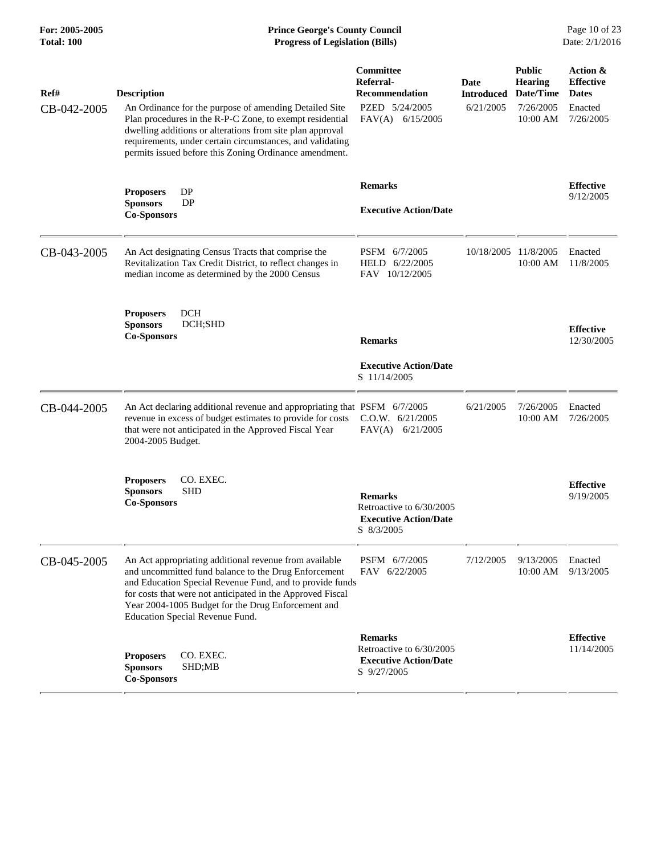| Ref#        | <b>Description</b><br>An Ordinance for the purpose of amending Detailed Site                                                                                                                                                                                                                                                      | Committee<br>Referral-<br><b>Recommendation</b><br>PZED 5/24/2005                         | <b>Date</b><br><b>Introduced</b><br>6/21/2005 | <b>Public</b><br><b>Hearing</b><br>Date/Time<br>7/26/2005 | Action &<br><b>Effective</b><br><b>Dates</b><br>Enacted |
|-------------|-----------------------------------------------------------------------------------------------------------------------------------------------------------------------------------------------------------------------------------------------------------------------------------------------------------------------------------|-------------------------------------------------------------------------------------------|-----------------------------------------------|-----------------------------------------------------------|---------------------------------------------------------|
| CB-042-2005 | Plan procedures in the R-P-C Zone, to exempt residential<br>dwelling additions or alterations from site plan approval<br>requirements, under certain circumstances, and validating<br>permits issued before this Zoning Ordinance amendment.                                                                                      | $FAV(A)$ 6/15/2005                                                                        |                                               | $10:00$ AM                                                | 7/26/2005                                               |
|             | <b>Proposers</b><br>DP<br><b>DP</b><br><b>Sponsors</b><br><b>Co-Sponsors</b>                                                                                                                                                                                                                                                      | <b>Remarks</b><br><b>Executive Action/Date</b>                                            |                                               |                                                           | <b>Effective</b><br>9/12/2005                           |
| CB-043-2005 | An Act designating Census Tracts that comprise the<br>Revitalization Tax Credit District, to reflect changes in<br>median income as determined by the 2000 Census                                                                                                                                                                 | PSFM 6/7/2005<br>HELD 6/22/2005<br>FAV 10/12/2005                                         | 10/18/2005                                    | 11/8/2005<br>10:00 AM                                     | Enacted<br>11/8/2005                                    |
|             | <b>DCH</b><br><b>Proposers</b><br><b>Sponsors</b><br><b>DCH:SHD</b><br><b>Co-Sponsors</b>                                                                                                                                                                                                                                         | <b>Remarks</b>                                                                            |                                               |                                                           | <b>Effective</b><br>12/30/2005                          |
|             |                                                                                                                                                                                                                                                                                                                                   | <b>Executive Action/Date</b><br>S 11/14/2005                                              |                                               |                                                           |                                                         |
| CB-044-2005 | An Act declaring additional revenue and appropriating that PSFM 6/7/2005<br>revenue in excess of budget estimates to provide for costs<br>that were not anticipated in the Approved Fiscal Year<br>2004-2005 Budget.                                                                                                              | C.O.W. 6/21/2005<br>$FAV(A)$ 6/21/2005                                                    | 6/21/2005                                     | 7/26/2005<br>10:00 AM                                     | Enacted<br>7/26/2005                                    |
|             | CO. EXEC.<br><b>Proposers</b><br><b>SHD</b><br><b>Sponsors</b><br><b>Co-Sponsors</b>                                                                                                                                                                                                                                              | <b>Remarks</b><br>Retroactive to 6/30/2005<br><b>Executive Action/Date</b><br>S 8/3/2005  |                                               |                                                           | <b>Effective</b><br>9/19/2005                           |
| CB-045-2005 | An Act appropriating additional revenue from available<br>and uncommitted fund balance to the Drug Enforcement<br>and Education Special Revenue Fund, and to provide funds<br>for costs that were not anticipated in the Approved Fiscal<br>Year 2004-1005 Budget for the Drug Enforcement and<br>Education Special Revenue Fund. | PSFM 6/7/2005<br>FAV 6/22/2005                                                            | 7/12/2005                                     | 9/13/2005<br>10:00 AM                                     | Enacted<br>9/13/2005                                    |
|             | CO. EXEC.<br><b>Proposers</b><br><b>Sponsors</b><br>SHD;MB<br><b>Co-Sponsors</b>                                                                                                                                                                                                                                                  | <b>Remarks</b><br>Retroactive to 6/30/2005<br><b>Executive Action/Date</b><br>S 9/27/2005 |                                               |                                                           | <b>Effective</b><br>11/14/2005                          |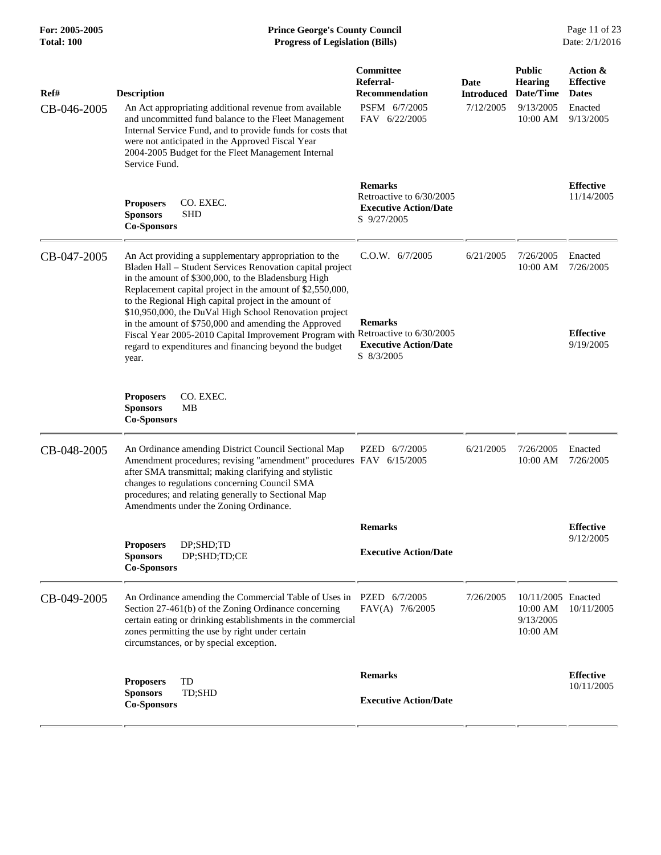| Ref#<br>CB-046-2005 | <b>Description</b><br>An Act appropriating additional revenue from available                                                                                                                                                                                                                                                            | Committee<br>Referral-<br><b>Recommendation</b><br>PSFM 6/7/2005                          | Date<br><b>Introduced</b><br>7/12/2005 | <b>Public</b><br>Hearing<br>Date/Time<br>9/13/2005      | Action &<br><b>Effective</b><br><b>Dates</b><br>Enacted |
|---------------------|-----------------------------------------------------------------------------------------------------------------------------------------------------------------------------------------------------------------------------------------------------------------------------------------------------------------------------------------|-------------------------------------------------------------------------------------------|----------------------------------------|---------------------------------------------------------|---------------------------------------------------------|
|                     | and uncommitted fund balance to the Fleet Management<br>Internal Service Fund, and to provide funds for costs that<br>were not anticipated in the Approved Fiscal Year<br>2004-2005 Budget for the Fleet Management Internal<br>Service Fund.                                                                                           | FAV 6/22/2005                                                                             |                                        | 10:00 AM                                                | 9/13/2005                                               |
|                     | CO. EXEC.<br><b>Proposers</b><br><b>Sponsors</b><br><b>SHD</b><br><b>Co-Sponsors</b>                                                                                                                                                                                                                                                    | <b>Remarks</b><br>Retroactive to 6/30/2005<br><b>Executive Action/Date</b><br>S 9/27/2005 |                                        |                                                         | <b>Effective</b><br>11/14/2005                          |
| CB-047-2005         | An Act providing a supplementary appropriation to the<br>Bladen Hall - Student Services Renovation capital project<br>in the amount of \$300,000, to the Bladensburg High<br>Replacement capital project in the amount of \$2,550,000,<br>to the Regional High capital project in the amount of                                         | C.O.W. 6/7/2005                                                                           | 6/21/2005                              | 7/26/2005<br>10:00 AM                                   | Enacted<br>7/26/2005                                    |
|                     | \$10,950,000, the DuVal High School Renovation project<br>in the amount of \$750,000 and amending the Approved<br>Fiscal Year 2005-2010 Capital Improvement Program with Retroactive to 6/30/2005<br>regard to expenditures and financing beyond the budget<br>year.                                                                    | <b>Remarks</b><br><b>Executive Action/Date</b><br>S 8/3/2005                              |                                        |                                                         | <b>Effective</b><br>9/19/2005                           |
|                     | <b>Proposers</b><br>CO. EXEC.<br><b>Sponsors</b><br>MВ<br><b>Co-Sponsors</b>                                                                                                                                                                                                                                                            |                                                                                           |                                        |                                                         |                                                         |
| CB-048-2005         | An Ordinance amending District Council Sectional Map<br>Amendment procedures; revising "amendment" procedures FAV 6/15/2005<br>after SMA transmittal; making clarifying and stylistic<br>changes to regulations concerning Council SMA<br>procedures; and relating generally to Sectional Map<br>Amendments under the Zoning Ordinance. | PZED 6/7/2005                                                                             | 6/21/2005                              | 7/26/2005<br>10:00 AM                                   | Enacted<br>7/26/2005                                    |
|                     |                                                                                                                                                                                                                                                                                                                                         | <b>Remarks</b>                                                                            |                                        |                                                         | <b>Effective</b>                                        |
|                     | DP;SHD;TD<br><b>Proposers</b><br>DP;SHD;TD;CE<br><b>Sponsors</b><br><b>Co-Sponsors</b>                                                                                                                                                                                                                                                  | <b>Executive Action/Date</b>                                                              |                                        |                                                         | 9/12/2005                                               |
| CB-049-2005         | An Ordinance amending the Commercial Table of Uses in PZED 6/7/2005<br>Section 27-461(b) of the Zoning Ordinance concerning<br>certain eating or drinking establishments in the commercial<br>zones permitting the use by right under certain<br>circumstances, or by special exception.                                                | $FAV(A)$ 7/6/2005                                                                         | 7/26/2005                              | 10/11/2005 Enacted<br>10:00 AM<br>9/13/2005<br>10:00 AM | 10/11/2005                                              |
|                     | TD<br><b>Proposers</b><br><b>Sponsors</b><br>TD;SHD<br><b>Co-Sponsors</b>                                                                                                                                                                                                                                                               | <b>Remarks</b><br><b>Executive Action/Date</b>                                            |                                        |                                                         | <b>Effective</b><br>10/11/2005                          |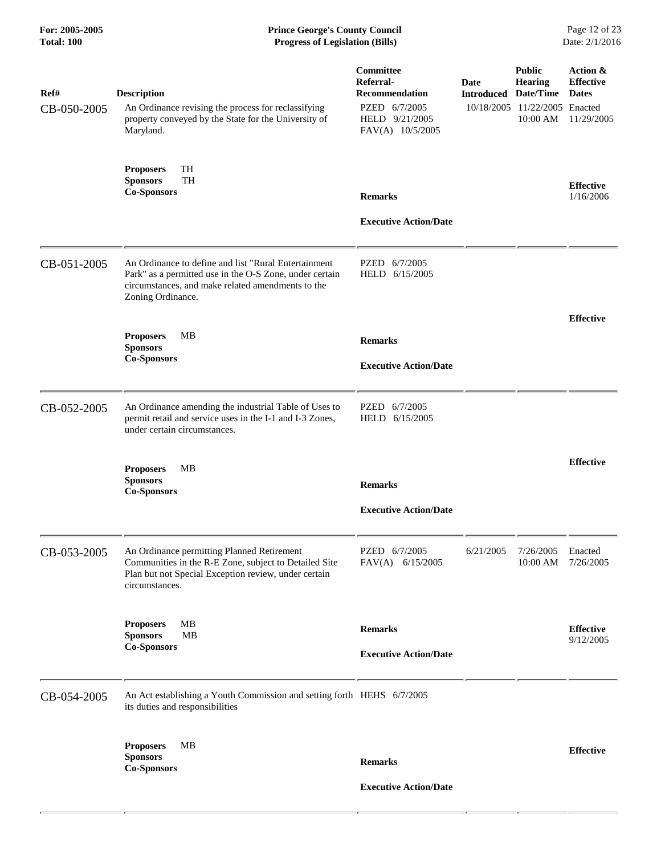| Ref#<br>CB-050-2005 | <b>Description</b><br>An Ordinance revising the process for reclassifying<br>property conveyed by the State for the University of<br>Maryland.                                            | Committee<br>Referral-<br>Recommendation<br>PZED 6/7/2005<br>HELD 9/21/2005<br>FAV(A) 10/5/2005 | Date<br><b>Introduced</b><br>10/18/2005 | <b>Public</b><br><b>Hearing</b><br>Date/Time<br>11/22/2005 Enacted<br>10:00 AM | Action &<br><b>Effective</b><br><b>Dates</b><br>11/29/2005 |
|---------------------|-------------------------------------------------------------------------------------------------------------------------------------------------------------------------------------------|-------------------------------------------------------------------------------------------------|-----------------------------------------|--------------------------------------------------------------------------------|------------------------------------------------------------|
|                     | TH<br><b>Proposers</b><br><b>Sponsors</b><br>TH<br><b>Co-Sponsors</b>                                                                                                                     | <b>Remarks</b><br><b>Executive Action/Date</b>                                                  |                                         |                                                                                | <b>Effective</b><br>1/16/2006                              |
| CB-051-2005         | An Ordinance to define and list "Rural Entertainment<br>Park" as a permitted use in the O-S Zone, under certain<br>circumstances, and make related amendments to the<br>Zoning Ordinance. | PZED 6/7/2005<br>HELD 6/15/2005                                                                 |                                         |                                                                                |                                                            |
|                     | MВ<br><b>Proposers</b><br><b>Sponsors</b><br><b>Co-Sponsors</b>                                                                                                                           | <b>Remarks</b><br><b>Executive Action/Date</b>                                                  |                                         |                                                                                | <b>Effective</b>                                           |
| CB-052-2005         | An Ordinance amending the industrial Table of Uses to<br>permit retail and service uses in the I-1 and I-3 Zones,<br>under certain circumstances.                                         | PZED 6/7/2005<br>HELD 6/15/2005                                                                 |                                         |                                                                                |                                                            |
|                     | <b>Proposers</b><br>MВ<br><b>Sponsors</b><br><b>Co-Sponsors</b>                                                                                                                           | <b>Remarks</b><br><b>Executive Action/Date</b>                                                  |                                         |                                                                                | <b>Effective</b>                                           |
| CB-053-2005         | An Ordinance permitting Planned Retirement<br>Communities in the R-E Zone, subject to Detailed Site<br>Plan but not Special Exception review, under certain<br>circumstances.             | PZED 6/7/2005<br>$FAV(A)$ 6/15/2005                                                             | 6/21/2005                               | 7/26/2005<br>10:00 AM                                                          | Enacted<br>7/26/2005                                       |
|                     | MB<br><b>Proposers</b><br><b>Sponsors</b><br>MB<br><b>Co-Sponsors</b>                                                                                                                     | <b>Remarks</b><br><b>Executive Action/Date</b>                                                  |                                         |                                                                                | <b>Effective</b><br>9/12/2005                              |
| CB-054-2005         | An Act establishing a Youth Commission and setting forth HEHS 6/7/2005<br>its duties and responsibilities                                                                                 |                                                                                                 |                                         |                                                                                |                                                            |
|                     | <b>Proposers</b><br><b>MB</b><br><b>Sponsors</b><br><b>Co-Sponsors</b>                                                                                                                    | <b>Remarks</b><br><b>Executive Action/Date</b>                                                  |                                         |                                                                                | <b>Effective</b>                                           |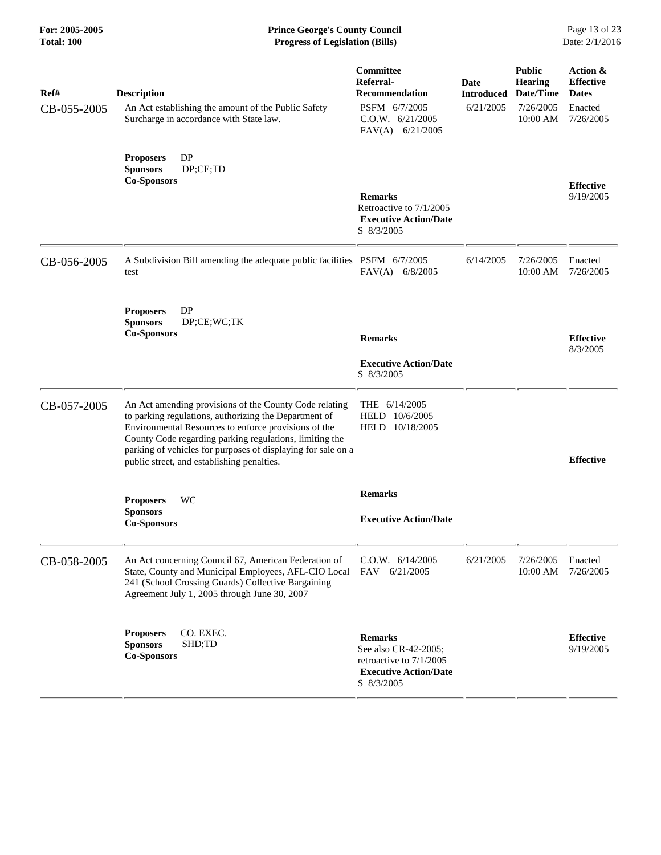| Ref#<br>CB-055-2005 | <b>Description</b><br>An Act establishing the amount of the Public Safety<br>Surcharge in accordance with State law.                                                                                                                                                                                                                             | Committee<br>Referral-<br><b>Recommendation</b><br>PSFM 6/7/2005<br>C.0.W. 6/21/2005<br>FAV(A) 6/21/2005        | Date<br><b>Introduced</b><br>6/21/2005 | <b>Public</b><br><b>Hearing</b><br>Date/Time<br>7/26/2005<br>10:00 AM | Action &<br><b>Effective</b><br><b>Dates</b><br>Enacted<br>7/26/2005 |
|---------------------|--------------------------------------------------------------------------------------------------------------------------------------------------------------------------------------------------------------------------------------------------------------------------------------------------------------------------------------------------|-----------------------------------------------------------------------------------------------------------------|----------------------------------------|-----------------------------------------------------------------------|----------------------------------------------------------------------|
|                     | DP<br><b>Proposers</b><br><b>Sponsors</b><br>DP;CE;TD<br><b>Co-Sponsors</b>                                                                                                                                                                                                                                                                      | <b>Remarks</b><br>Retroactive to 7/1/2005<br><b>Executive Action/Date</b><br>S 8/3/2005                         |                                        |                                                                       | <b>Effective</b><br>9/19/2005                                        |
| CB-056-2005         | A Subdivision Bill amending the adequate public facilities PSFM 6/7/2005<br>test                                                                                                                                                                                                                                                                 | FAV(A) 6/8/2005                                                                                                 | 6/14/2005                              | 7/26/2005<br>$10:00$ AM                                               | Enacted<br>7/26/2005                                                 |
|                     | DP<br><b>Proposers</b><br><b>Sponsors</b><br>DP;CE;WC;TK<br><b>Co-Sponsors</b>                                                                                                                                                                                                                                                                   | <b>Remarks</b><br><b>Executive Action/Date</b><br>S 8/3/2005                                                    |                                        |                                                                       | <b>Effective</b><br>8/3/2005                                         |
| CB-057-2005         | An Act amending provisions of the County Code relating<br>to parking regulations, authorizing the Department of<br>Environmental Resources to enforce provisions of the<br>County Code regarding parking regulations, limiting the<br>parking of vehicles for purposes of displaying for sale on a<br>public street, and establishing penalties. | THE 6/14/2005<br>HELD 10/6/2005<br>HELD 10/18/2005                                                              |                                        |                                                                       | <b>Effective</b>                                                     |
|                     | WC<br><b>Proposers</b><br><b>Sponsors</b><br><b>Co-Sponsors</b>                                                                                                                                                                                                                                                                                  | <b>Remarks</b><br><b>Executive Action/Date</b>                                                                  |                                        |                                                                       |                                                                      |
| CB-058-2005         | An Act concerning Council 67, American Federation of<br>State, County and Municipal Employees, AFL-CIO Local<br>241 (School Crossing Guards) Collective Bargaining<br>Agreement July 1, 2005 through June 30, 2007                                                                                                                               | C.O.W. 6/14/2005<br>FAV 6/21/2005                                                                               | 6/21/2005                              | 7/26/2005<br>10:00 AM                                                 | Enacted<br>7/26/2005                                                 |
|                     | <b>Proposers</b><br>CO. EXEC.<br>SHD;TD<br><b>Sponsors</b><br><b>Co-Sponsors</b>                                                                                                                                                                                                                                                                 | <b>Remarks</b><br>See also CR-42-2005;<br>retroactive to 7/1/2005<br><b>Executive Action/Date</b><br>S 8/3/2005 |                                        |                                                                       | <b>Effective</b><br>9/19/2005                                        |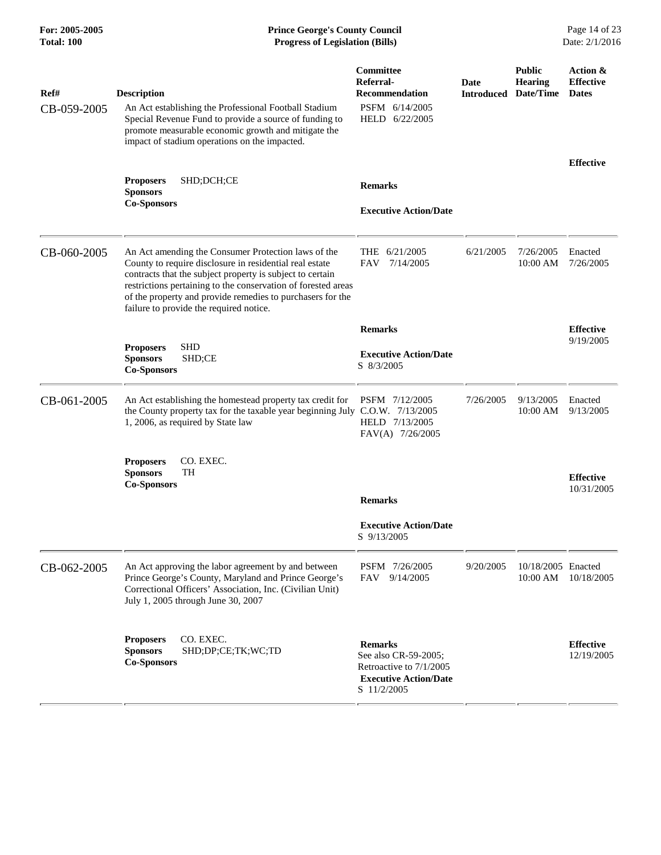| Ref#<br>CB-059-2005 | <b>Description</b><br>An Act establishing the Professional Football Stadium<br>Special Revenue Fund to provide a source of funding to<br>promote measurable economic growth and mitigate the<br>impact of stadium operations on the impacted.                                                                                                         | Committee<br>Referral-<br><b>Recommendation</b><br>PSFM 6/14/2005<br>HELD 6/22/2005                              | Date<br><b>Introduced</b> | <b>Public</b><br><b>Hearing</b><br>Date/Time | Action &<br><b>Effective</b><br><b>Dates</b> |
|---------------------|-------------------------------------------------------------------------------------------------------------------------------------------------------------------------------------------------------------------------------------------------------------------------------------------------------------------------------------------------------|------------------------------------------------------------------------------------------------------------------|---------------------------|----------------------------------------------|----------------------------------------------|
|                     | SHD;DCH;CE<br><b>Proposers</b><br><b>Sponsors</b><br><b>Co-Sponsors</b>                                                                                                                                                                                                                                                                               | <b>Remarks</b><br><b>Executive Action/Date</b>                                                                   |                           |                                              | <b>Effective</b>                             |
| CB-060-2005         | An Act amending the Consumer Protection laws of the<br>County to require disclosure in residential real estate<br>contracts that the subject property is subject to certain<br>restrictions pertaining to the conservation of forested areas<br>of the property and provide remedies to purchasers for the<br>failure to provide the required notice. | THE 6/21/2005<br>7/14/2005<br><b>FAV</b>                                                                         | 6/21/2005                 | 7/26/2005<br>10:00 AM                        | Enacted<br>7/26/2005                         |
|                     | <b>SHD</b><br><b>Proposers</b><br><b>Sponsors</b><br>SHD;CE<br><b>Co-Sponsors</b>                                                                                                                                                                                                                                                                     | <b>Remarks</b><br><b>Executive Action/Date</b><br>S 8/3/2005                                                     |                           |                                              | <b>Effective</b><br>9/19/2005                |
| CB-061-2005         | An Act establishing the homestead property tax credit for<br>the County property tax for the taxable year beginning July C.O.W. 7/13/2005<br>1, 2006, as required by State law                                                                                                                                                                        | PSFM 7/12/2005<br>HELD 7/13/2005<br>FAV(A) 7/26/2005                                                             | 7/26/2005                 | 9/13/2005<br>10:00 AM                        | Enacted<br>9/13/2005                         |
|                     | CO. EXEC.<br><b>Proposers</b><br>TH<br><b>Sponsors</b><br><b>Co-Sponsors</b>                                                                                                                                                                                                                                                                          | <b>Remarks</b>                                                                                                   |                           |                                              | <b>Effective</b><br>10/31/2005               |
|                     |                                                                                                                                                                                                                                                                                                                                                       | <b>Executive Action/Date</b><br>S 9/13/2005                                                                      |                           |                                              |                                              |
| CB-062-2005         | An Act approving the labor agreement by and between<br>Prince George's County, Maryland and Prince George's<br>Correctional Officers' Association, Inc. (Civilian Unit)<br>July 1, 2005 through June 30, 2007                                                                                                                                         | PSFM 7/26/2005<br>9/14/2005<br><b>FAV</b>                                                                        | 9/20/2005                 | 10/18/2005 Enacted<br>10:00 AM               | 10/18/2005                                   |
|                     | CO. EXEC.<br><b>Proposers</b><br>SHD;DP;CE;TK;WC;TD<br><b>Sponsors</b><br><b>Co-Sponsors</b>                                                                                                                                                                                                                                                          | <b>Remarks</b><br>See also CR-59-2005;<br>Retroactive to 7/1/2005<br><b>Executive Action/Date</b><br>S 11/2/2005 |                           |                                              | <b>Effective</b><br>12/19/2005               |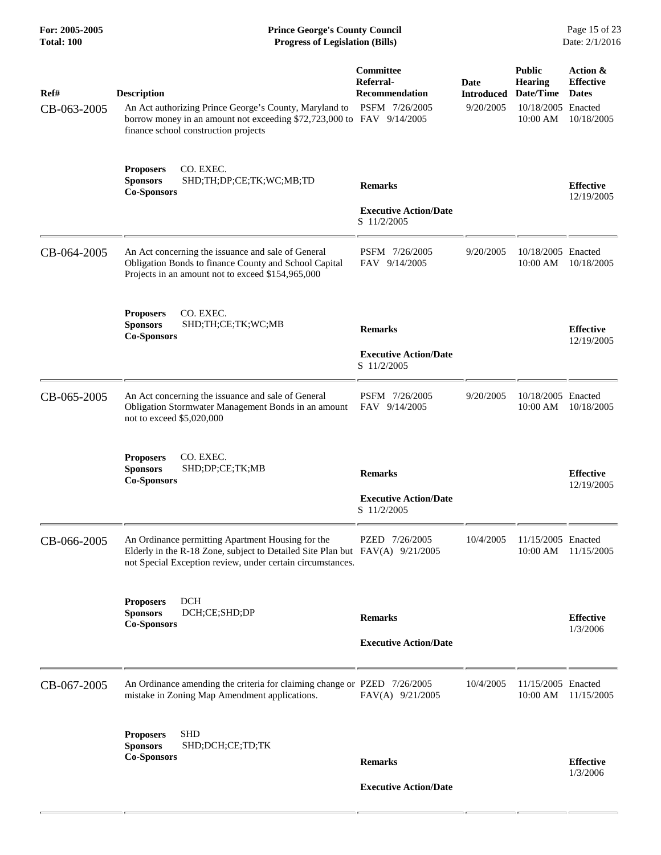| For: 2005-2005<br><b>Total: 100</b> | <b>Prince George's County Council</b><br><b>Progress of Legislation (Bills)</b>                                                                                                                 |                                                               |                                               | Page 15 of 23<br>Date: 2/1/2016                                                |                                                            |
|-------------------------------------|-------------------------------------------------------------------------------------------------------------------------------------------------------------------------------------------------|---------------------------------------------------------------|-----------------------------------------------|--------------------------------------------------------------------------------|------------------------------------------------------------|
| Ref#<br>CB-063-2005                 | <b>Description</b><br>An Act authorizing Prince George's County, Maryland to<br>borrow money in an amount not exceeding \$72,723,000 to FAV 9/14/2005<br>finance school construction projects   | Committee<br>Referral-<br>Recommendation<br>PSFM 7/26/2005    | <b>Date</b><br><b>Introduced</b><br>9/20/2005 | <b>Public</b><br><b>Hearing</b><br>Date/Time<br>10/18/2005 Enacted<br>10:00 AM | Action &<br><b>Effective</b><br><b>Dates</b><br>10/18/2005 |
|                                     | CO. EXEC.<br><b>Proposers</b><br><b>Sponsors</b><br>SHD;TH;DP;CE;TK;WC;MB;TD<br><b>Co-Sponsors</b>                                                                                              | <b>Remarks</b><br><b>Executive Action/Date</b><br>S 11/2/2005 |                                               |                                                                                | <b>Effective</b><br>12/19/2005                             |
| CB-064-2005                         | An Act concerning the issuance and sale of General<br>Obligation Bonds to finance County and School Capital<br>Projects in an amount not to exceed \$154,965,000                                | PSFM 7/26/2005<br>FAV 9/14/2005                               | 9/20/2005                                     | 10/18/2005 Enacted<br>10:00 AM                                                 | 10/18/2005                                                 |
|                                     | CO. EXEC.<br><b>Proposers</b><br><b>Sponsors</b><br>SHD;TH;CE;TK;WC;MB<br><b>Co-Sponsors</b>                                                                                                    | <b>Remarks</b><br><b>Executive Action/Date</b><br>S 11/2/2005 |                                               |                                                                                | <b>Effective</b><br>12/19/2005                             |
| CB-065-2005                         | An Act concerning the issuance and sale of General<br>Obligation Stormwater Management Bonds in an amount<br>not to exceed \$5,020,000                                                          | PSFM 7/26/2005<br>FAV 9/14/2005                               | 9/20/2005                                     | 10/18/2005 Enacted<br>10:00 AM                                                 | 10/18/2005                                                 |
|                                     | <b>Proposers</b><br>CO. EXEC.<br><b>Sponsors</b><br>SHD;DP;CE;TK;MB<br><b>Co-Sponsors</b>                                                                                                       | <b>Remarks</b><br><b>Executive Action/Date</b><br>S 11/2/2005 |                                               |                                                                                | <b>Effective</b><br>12/19/2005                             |
| CB-066-2005                         | An Ordinance permitting Apartment Housing for the<br>Elderly in the R-18 Zone, subject to Detailed Site Plan but FAV(A) 9/21/2005<br>not Special Exception review, under certain circumstances. | PZED 7/26/2005                                                | 10/4/2005                                     | 11/15/2005 Enacted<br>10:00 AM                                                 | 11/15/2005                                                 |
|                                     | <b>DCH</b><br><b>Proposers</b><br><b>Sponsors</b><br>DCH;CE;SHD;DP<br><b>Co-Sponsors</b>                                                                                                        | <b>Remarks</b><br><b>Executive Action/Date</b>                |                                               |                                                                                | <b>Effective</b><br>1/3/2006                               |
| CB-067-2005                         | An Ordinance amending the criteria for claiming change or PZED 7/26/2005<br>mistake in Zoning Map Amendment applications.                                                                       | FAV(A) 9/21/2005                                              | 10/4/2005                                     | 11/15/2005 Enacted<br>10:00 AM                                                 | 11/15/2005                                                 |
|                                     | <b>SHD</b><br><b>Proposers</b><br><b>Sponsors</b><br>SHD;DCH;CE;TD;TK<br><b>Co-Sponsors</b>                                                                                                     | <b>Remarks</b><br><b>Executive Action/Date</b>                |                                               |                                                                                | <b>Effective</b><br>1/3/2006                               |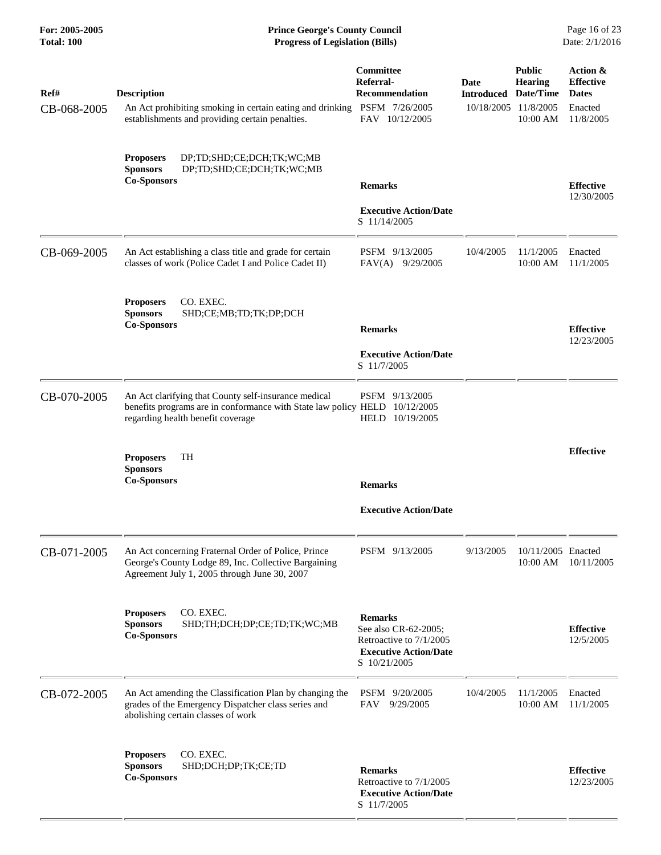| For: 2005-2005<br><b>Total: 100</b> | <b>Prince George's County Council</b><br><b>Progress of Legislation (Bills)</b>                                                                                         |                                                                                                                   |                                            |                                                              | Page 16 of 23<br>Date: 2/1/2016                                      |
|-------------------------------------|-------------------------------------------------------------------------------------------------------------------------------------------------------------------------|-------------------------------------------------------------------------------------------------------------------|--------------------------------------------|--------------------------------------------------------------|----------------------------------------------------------------------|
| Ref#<br>CB-068-2005                 | <b>Description</b><br>An Act prohibiting smoking in certain eating and drinking PSFM 7/26/2005<br>establishments and providing certain penalties.                       | Committee<br>Referral-<br>Recommendation<br>FAV 10/12/2005                                                        | <b>Date</b><br><b>Introduced Date/Time</b> | <b>Public</b><br>Hearing<br>10/18/2005 11/8/2005<br>10:00 AM | Action &<br><b>Effective</b><br><b>Dates</b><br>Enacted<br>11/8/2005 |
|                                     | DP;TD;SHD;CE;DCH;TK;WC;MB<br><b>Proposers</b><br><b>Sponsors</b><br>DP;TD;SHD;CE;DCH;TK;WC;MB<br><b>Co-Sponsors</b>                                                     | <b>Remarks</b><br><b>Executive Action/Date</b><br>S 11/14/2005                                                    |                                            |                                                              | <b>Effective</b><br>12/30/2005                                       |
| CB-069-2005                         | An Act establishing a class title and grade for certain<br>classes of work (Police Cadet I and Police Cadet II)                                                         | PSFM 9/13/2005<br>$FAV(A)$ 9/29/2005                                                                              | 10/4/2005                                  | 11/1/2005<br>10:00 AM                                        | Enacted<br>11/1/2005                                                 |
|                                     | CO. EXEC.<br><b>Proposers</b><br><b>Sponsors</b><br>SHD;CE;MB;TD;TK;DP;DCH<br><b>Co-Sponsors</b>                                                                        | <b>Remarks</b><br><b>Executive Action/Date</b><br>S 11/7/2005                                                     |                                            |                                                              | <b>Effective</b><br>12/23/2005                                       |
| CB-070-2005                         | An Act clarifying that County self-insurance medical<br>benefits programs are in conformance with State law policy HELD 10/12/2005<br>regarding health benefit coverage | PSFM 9/13/2005<br>HELD 10/19/2005                                                                                 |                                            |                                                              |                                                                      |
|                                     | <b>Proposers</b><br><b>TH</b><br><b>Sponsors</b><br><b>Co-Sponsors</b>                                                                                                  | <b>Remarks</b><br><b>Executive Action/Date</b>                                                                    |                                            |                                                              | <b>Effective</b>                                                     |
| CB-071-2005                         | An Act concerning Fraternal Order of Police, Prince<br>George's County Lodge 89, Inc. Collective Bargaining<br>Agreement July 1, 2005 through June 30, 2007             | PSFM 9/13/2005                                                                                                    | 9/13/2005                                  | 10/11/2005 Enacted<br>10:00 AM                               | 10/11/2005                                                           |
|                                     | CO. EXEC.<br><b>Proposers</b><br>SHD;TH;DCH;DP;CE;TD;TK;WC;MB<br><b>Sponsors</b><br><b>Co-Sponsors</b>                                                                  | <b>Remarks</b><br>See also CR-62-2005:<br>Retroactive to 7/1/2005<br><b>Executive Action/Date</b><br>S 10/21/2005 |                                            |                                                              | <b>Effective</b><br>12/5/2005                                        |
| CB-072-2005                         | An Act amending the Classification Plan by changing the<br>grades of the Emergency Dispatcher class series and<br>abolishing certain classes of work                    | PSFM 9/20/2005<br>9/29/2005<br><b>FAV</b>                                                                         | 10/4/2005                                  | 11/1/2005<br>10:00 AM                                        | Enacted<br>11/1/2005                                                 |
|                                     | CO. EXEC.<br><b>Proposers</b><br><b>Sponsors</b><br>SHD;DCH;DP;TK;CE;TD<br><b>Co-Sponsors</b>                                                                           | <b>Remarks</b><br>Retroactive to 7/1/2005<br><b>Executive Action/Date</b><br>S 11/7/2005                          |                                            |                                                              | <b>Effective</b><br>12/23/2005                                       |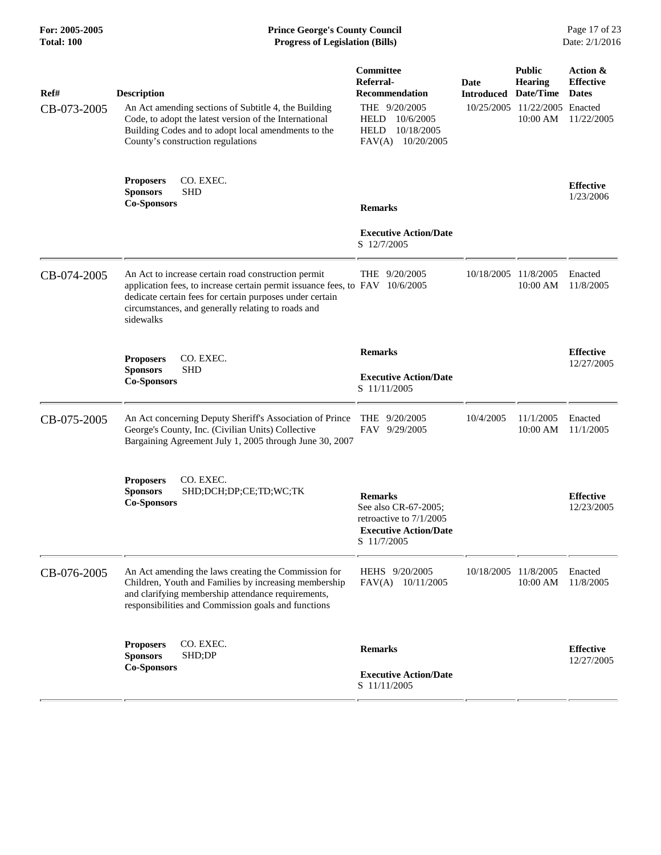| Ref#<br>CB-073-2005 | <b>Description</b><br>An Act amending sections of Subtitle 4, the Building<br>Code, to adopt the latest version of the International<br>Building Codes and to adopt local amendments to the<br>County's construction regulations                                   | Committee<br>Referral-<br><b>Recommendation</b><br>THE 9/20/2005<br>10/6/2005<br><b>HELD</b><br>10/18/2005<br><b>HELD</b><br>FAV(A)<br>10/20/2005 | <b>Date</b><br><b>Introduced</b> | <b>Public</b><br><b>Hearing</b><br>Date/Time<br>10/25/2005 11/22/2005 Enacted<br>10:00 AM | Action &<br><b>Effective</b><br><b>Dates</b><br>11/22/2005 |
|---------------------|--------------------------------------------------------------------------------------------------------------------------------------------------------------------------------------------------------------------------------------------------------------------|---------------------------------------------------------------------------------------------------------------------------------------------------|----------------------------------|-------------------------------------------------------------------------------------------|------------------------------------------------------------|
|                     | CO. EXEC.<br><b>Proposers</b><br><b>Sponsors</b><br><b>SHD</b><br><b>Co-Sponsors</b>                                                                                                                                                                               | <b>Remarks</b><br><b>Executive Action/Date</b><br>S 12/7/2005                                                                                     |                                  |                                                                                           | <b>Effective</b><br>1/23/2006                              |
| CB-074-2005         | An Act to increase certain road construction permit<br>application fees, to increase certain permit issuance fees, to FAV 10/6/2005<br>dedicate certain fees for certain purposes under certain<br>circumstances, and generally relating to roads and<br>sidewalks | THE 9/20/2005                                                                                                                                     | 10/18/2005                       | 11/8/2005<br>10:00 AM                                                                     | Enacted<br>11/8/2005                                       |
|                     | CO. EXEC.<br><b>Proposers</b><br><b>Sponsors</b><br><b>SHD</b><br><b>Co-Sponsors</b>                                                                                                                                                                               | <b>Remarks</b><br><b>Executive Action/Date</b><br>S 11/11/2005                                                                                    |                                  |                                                                                           | <b>Effective</b><br>12/27/2005                             |
| CB-075-2005         | An Act concerning Deputy Sheriff's Association of Prince<br>George's County, Inc. (Civilian Units) Collective<br>Bargaining Agreement July 1, 2005 through June 30, 2007                                                                                           | THE $9/20/2005$<br>FAV 9/29/2005                                                                                                                  | 10/4/2005                        | 11/1/2005<br>10:00 AM                                                                     | Enacted<br>11/1/2005                                       |
|                     | CO. EXEC.<br><b>Proposers</b><br><b>Sponsors</b><br>SHD;DCH;DP;CE;TD;WC;TK<br><b>Co-Sponsors</b>                                                                                                                                                                   | <b>Remarks</b><br>See also CR-67-2005;<br>retroactive to 7/1/2005<br><b>Executive Action/Date</b><br>S 11/7/2005                                  |                                  |                                                                                           | <b>Effective</b><br>12/23/2005                             |
| CB-076-2005         | An Act amending the laws creating the Commission for<br>Children, Youth and Families by increasing membership<br>and clarifying membership attendance requirements,<br>responsibilities and Commission goals and functions                                         | HEHS 9/20/2005<br>FAV(A)<br>10/11/2005                                                                                                            | 10/18/2005                       | 11/8/2005<br>10:00 AM                                                                     | Enacted<br>11/8/2005                                       |
|                     | CO. EXEC.<br><b>Proposers</b><br><b>Sponsors</b><br>SHD;DP<br><b>Co-Sponsors</b>                                                                                                                                                                                   | <b>Remarks</b><br><b>Executive Action/Date</b><br>S 11/11/2005                                                                                    |                                  |                                                                                           | <b>Effective</b><br>12/27/2005                             |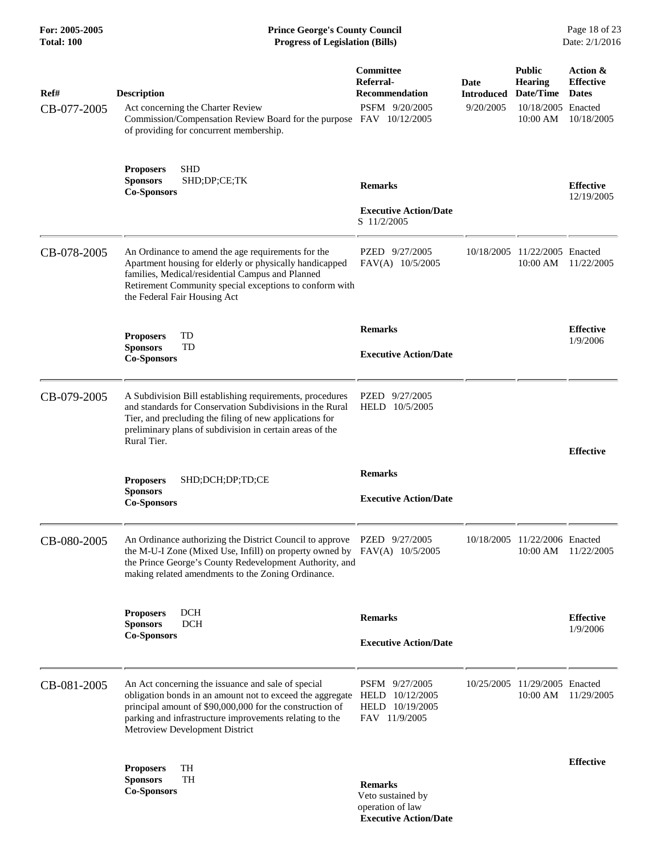| For: 2005-2005<br><b>Total: 100</b> | <b>Prince George's County Council</b><br><b>Progress of Legislation (Bills)</b>                                                                                                                                                                                          |                                                                          |                                        | Page 18 of 23<br>Date: 2/1/2016                                        |                                                                       |
|-------------------------------------|--------------------------------------------------------------------------------------------------------------------------------------------------------------------------------------------------------------------------------------------------------------------------|--------------------------------------------------------------------------|----------------------------------------|------------------------------------------------------------------------|-----------------------------------------------------------------------|
| Ref#<br>CB-077-2005                 | <b>Description</b><br>Act concerning the Charter Review<br>Commission/Compensation Review Board for the purpose FAV 10/12/2005<br>of providing for concurrent membership.                                                                                                | <b>Committee</b><br>Referral-<br><b>Recommendation</b><br>PSFM 9/20/2005 | Date<br><b>Introduced</b><br>9/20/2005 | <b>Public</b><br><b>Hearing</b><br>Date/Time<br>10/18/2005<br>10:00 AM | Action &<br><b>Effective</b><br><b>Dates</b><br>Enacted<br>10/18/2005 |
|                                     | <b>Proposers</b><br><b>SHD</b><br>SHD;DP;CE;TK<br><b>Sponsors</b><br><b>Co-Sponsors</b>                                                                                                                                                                                  | <b>Remarks</b><br><b>Executive Action/Date</b><br>S 11/2/2005            |                                        |                                                                        | <b>Effective</b><br>12/19/2005                                        |
| CB-078-2005                         | An Ordinance to amend the age requirements for the<br>Apartment housing for elderly or physically handicapped<br>families, Medical/residential Campus and Planned<br>Retirement Community special exceptions to conform with<br>the Federal Fair Housing Act             | PZED 9/27/2005<br>FAV(A) 10/5/2005                                       | 10/18/2005                             | 11/22/2005 Enacted<br>10:00 AM                                         | 11/22/2005                                                            |
|                                     | TD<br><b>Proposers</b><br><b>Sponsors</b><br>TD<br><b>Co-Sponsors</b>                                                                                                                                                                                                    | <b>Remarks</b><br><b>Executive Action/Date</b>                           |                                        |                                                                        | <b>Effective</b><br>1/9/2006                                          |
| CB-079-2005                         | A Subdivision Bill establishing requirements, procedures<br>and standards for Conservation Subdivisions in the Rural<br>Tier, and precluding the filing of new applications for<br>preliminary plans of subdivision in certain areas of the<br>Rural Tier.               | PZED 9/27/2005<br>HELD 10/5/2005                                         |                                        |                                                                        | <b>Effective</b>                                                      |
|                                     | SHD;DCH;DP;TD;CE<br><b>Proposers</b><br><b>Sponsors</b><br>$\operatorname{Co-Sponsors}$                                                                                                                                                                                  | <b>Remarks</b><br><b>Executive Action/Date</b>                           |                                        |                                                                        |                                                                       |
| CB-080-2005                         | An Ordinance authorizing the District Council to approve PZED 9/27/2005<br>the M-U-I Zone (Mixed Use, Infill) on property owned by FAV(A) 10/5/2005<br>the Prince George's County Redevelopment Authority, and<br>making related amendments to the Zoning Ordinance.     |                                                                          |                                        | 10/18/2005 11/22/2006 Enacted<br>10:00 AM                              | 11/22/2005                                                            |
|                                     | <b>Proposers</b><br><b>DCH</b><br><b>Sponsors</b><br><b>DCH</b><br><b>Co-Sponsors</b>                                                                                                                                                                                    | <b>Remarks</b><br><b>Executive Action/Date</b>                           |                                        |                                                                        | <b>Effective</b><br>1/9/2006                                          |
| CB-081-2005                         | An Act concerning the issuance and sale of special<br>obligation bonds in an amount not to exceed the aggregate<br>principal amount of \$90,000,000 for the construction of<br>parking and infrastructure improvements relating to the<br>Metroview Development District | PSFM 9/27/2005<br>HELD 10/12/2005<br>HELD 10/19/2005<br>FAV 11/9/2005    | 10/25/2005                             | 11/29/2005 Enacted<br>10:00 AM                                         | 11/29/2005                                                            |
|                                     | TH<br><b>Proposers</b><br><b>Sponsors</b><br>TН<br><b>Co-Sponsors</b>                                                                                                                                                                                                    | <b>Remarks</b><br>Veto sustained by<br>operation of law                  |                                        |                                                                        | <b>Effective</b>                                                      |

 **Executive Action/Date**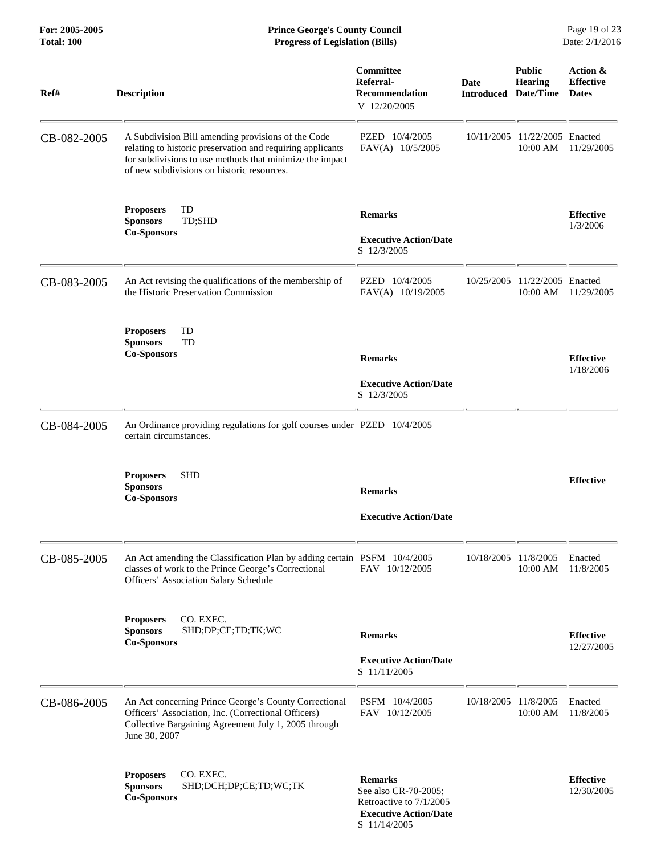| For: 2005-2005<br><b>Total: 100</b> | <b>Prince George's County Council</b><br>Page 19 of 23<br>Date: 2/1/2016<br><b>Progress of Legislation (Bills)</b>                                                                                                         |                                                                   |                                     |                                  |                                              |
|-------------------------------------|----------------------------------------------------------------------------------------------------------------------------------------------------------------------------------------------------------------------------|-------------------------------------------------------------------|-------------------------------------|----------------------------------|----------------------------------------------|
| Ref#                                | <b>Description</b>                                                                                                                                                                                                         | Committee<br>Referral-<br><b>Recommendation</b><br>V 12/20/2005   | Date<br><b>Introduced Date/Time</b> | <b>Public</b><br><b>Hearing</b>  | Action &<br><b>Effective</b><br><b>Dates</b> |
| CB-082-2005                         | A Subdivision Bill amending provisions of the Code<br>relating to historic preservation and requiring applicants<br>for subdivisions to use methods that minimize the impact<br>of new subdivisions on historic resources. | PZED 10/4/2005<br>FAV(A) 10/5/2005                                | 10/11/2005                          | 11/22/2005 Enacted<br>10:00 AM   | 11/29/2005                                   |
|                                     | TD<br><b>Proposers</b><br><b>Sponsors</b><br>TD;SHD<br><b>Co-Sponsors</b>                                                                                                                                                  | <b>Remarks</b><br><b>Executive Action/Date</b><br>S 12/3/2005     |                                     |                                  | <b>Effective</b><br>1/3/2006                 |
| CB-083-2005                         | An Act revising the qualifications of the membership of<br>the Historic Preservation Commission                                                                                                                            | PZED 10/4/2005<br>FAV(A) 10/19/2005                               | 10/25/2005                          | 11/22/2005 Enacted<br>10:00 AM   | 11/29/2005                                   |
|                                     | TD<br><b>Proposers</b><br>TD<br><b>Sponsors</b><br><b>Co-Sponsors</b>                                                                                                                                                      | <b>Remarks</b><br><b>Executive Action/Date</b><br>S 12/3/2005     |                                     |                                  | <b>Effective</b><br>1/18/2006                |
| CB-084-2005                         | An Ordinance providing regulations for golf courses under PZED 10/4/2005<br>certain circumstances.                                                                                                                         |                                                                   |                                     |                                  |                                              |
|                                     | <b>SHD</b><br><b>Proposers</b><br><b>Sponsors</b><br><b>Co-Sponsors</b>                                                                                                                                                    | <b>Remarks</b><br><b>Executive Action/Date</b>                    |                                     |                                  | <b>Effective</b>                             |
| CB-085-2005                         | An Act amending the Classification Plan by adding certain PSFM 10/4/2005<br>classes of work to the Prince George's Correctional<br>Officers' Association Salary Schedule                                                   | FAV 10/12/2005                                                    |                                     | 10/18/2005 11/8/2005<br>10:00 AM | Enacted<br>11/8/2005                         |
|                                     | CO. EXEC.<br><b>Proposers</b><br>SHD;DP;CE;TD;TK;WC<br><b>Sponsors</b><br><b>Co-Sponsors</b>                                                                                                                               | <b>Remarks</b><br><b>Executive Action/Date</b><br>S 11/11/2005    |                                     |                                  | <b>Effective</b><br>12/27/2005               |
| CB-086-2005                         | An Act concerning Prince George's County Correctional<br>Officers' Association, Inc. (Correctional Officers)<br>Collective Bargaining Agreement July 1, 2005 through<br>June 30, 2007                                      | PSFM 10/4/2005<br>FAV 10/12/2005                                  |                                     | 10/18/2005 11/8/2005<br>10:00 AM | Enacted<br>11/8/2005                         |
|                                     | CO. EXEC.<br><b>Proposers</b><br>SHD;DCH;DP;CE;TD;WC;TK<br><b>Sponsors</b><br><b>Co-Sponsors</b>                                                                                                                           | <b>Remarks</b><br>See also CR-70-2005;<br>Retroactive to 7/1/2005 |                                     |                                  | <b>Effective</b><br>12/30/2005               |

 **Executive Action/Date**

S 11/14/2005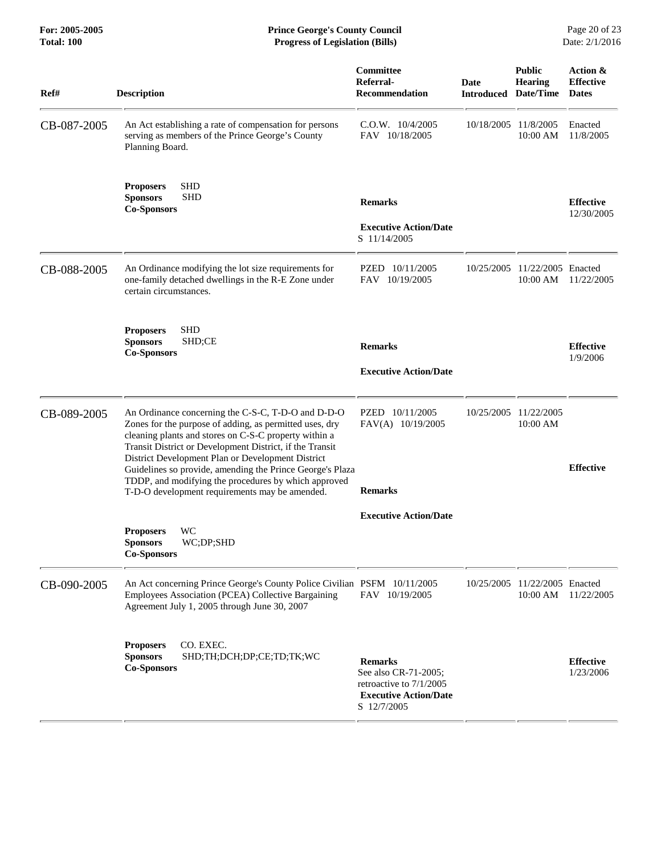| Ref#        | <b>Description</b>                                                                                                                                                                                                                                                                                                                                                                                                                                             | Committee<br>Referral-<br><b>Recommendation</b>                                                                  | Date<br><b>Introduced</b> | <b>Public</b><br><b>Hearing</b><br>Date/Time | Action &<br><b>Effective</b><br><b>Dates</b> |
|-------------|----------------------------------------------------------------------------------------------------------------------------------------------------------------------------------------------------------------------------------------------------------------------------------------------------------------------------------------------------------------------------------------------------------------------------------------------------------------|------------------------------------------------------------------------------------------------------------------|---------------------------|----------------------------------------------|----------------------------------------------|
| CB-087-2005 | An Act establishing a rate of compensation for persons<br>serving as members of the Prince George's County<br>Planning Board.                                                                                                                                                                                                                                                                                                                                  | $C.0.W.$ $10/4/2005$<br>FAV 10/18/2005                                                                           | 10/18/2005                | 11/8/2005<br>10:00 AM                        | Enacted<br>11/8/2005                         |
|             | <b>SHD</b><br><b>Proposers</b><br><b>SHD</b><br><b>Sponsors</b><br><b>Co-Sponsors</b>                                                                                                                                                                                                                                                                                                                                                                          | <b>Remarks</b><br><b>Executive Action/Date</b><br>S 11/14/2005                                                   |                           |                                              | <b>Effective</b><br>12/30/2005               |
| CB-088-2005 | An Ordinance modifying the lot size requirements for<br>one-family detached dwellings in the R-E Zone under<br>certain circumstances.                                                                                                                                                                                                                                                                                                                          | PZED 10/11/2005<br>FAV 10/19/2005                                                                                | 10/25/2005                | 11/22/2005 Enacted<br>10:00 AM               | 11/22/2005                                   |
|             | SHD<br><b>Proposers</b><br><b>Sponsors</b><br>SHD;CE<br><b>Co-Sponsors</b>                                                                                                                                                                                                                                                                                                                                                                                     | <b>Remarks</b><br><b>Executive Action/Date</b>                                                                   |                           |                                              | <b>Effective</b><br>1/9/2006                 |
| CB-089-2005 | An Ordinance concerning the C-S-C, T-D-O and D-D-O<br>Zones for the purpose of adding, as permitted uses, dry<br>cleaning plants and stores on C-S-C property within a<br>Transit District or Development District, if the Transit<br>District Development Plan or Development District<br>Guidelines so provide, amending the Prince George's Plaza<br>TDDP, and modifying the procedures by which approved<br>T-D-O development requirements may be amended. | PZED 10/11/2005<br>FAV(A) 10/19/2005<br><b>Remarks</b>                                                           | 10/25/2005                | 11/22/2005<br>10:00 AM                       | <b>Effective</b>                             |
|             | WC<br><b>Proposers</b><br>WC;DP;SHD<br><b>Sponsors</b><br><b>Co-Sponsors</b>                                                                                                                                                                                                                                                                                                                                                                                   | <b>Executive Action/Date</b>                                                                                     |                           |                                              |                                              |
| CB-090-2005 | An Act concerning Prince George's County Police Civilian PSFM 10/11/2005<br>Employees Association (PCEA) Collective Bargaining<br>Agreement July 1, 2005 through June 30, 2007                                                                                                                                                                                                                                                                                 | FAV 10/19/2005                                                                                                   |                           | 10/25/2005 11/22/2005 Enacted<br>10:00 AM    | 11/22/2005                                   |
|             | CO. EXEC.<br><b>Proposers</b><br>SHD;TH;DCH;DP;CE;TD;TK;WC<br><b>Sponsors</b><br><b>Co-Sponsors</b>                                                                                                                                                                                                                                                                                                                                                            | <b>Remarks</b><br>See also CR-71-2005;<br>retroactive to 7/1/2005<br><b>Executive Action/Date</b><br>S 12/7/2005 |                           |                                              | <b>Effective</b><br>1/23/2006                |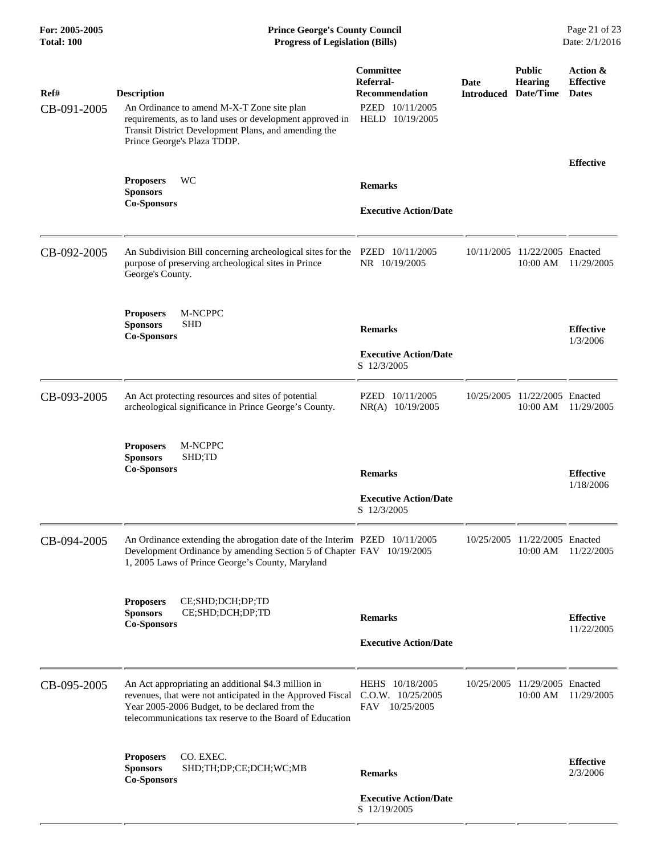| Ref#        | <b>Description</b>                                                                                                                                                                                                                                | Committee<br>Referral-<br>Recommendation     | Date<br><b>Introduced</b> | <b>Public</b><br><b>Hearing</b><br>Date/Time | Action &<br><b>Effective</b><br><b>Dates</b> |
|-------------|---------------------------------------------------------------------------------------------------------------------------------------------------------------------------------------------------------------------------------------------------|----------------------------------------------|---------------------------|----------------------------------------------|----------------------------------------------|
| CB-091-2005 | An Ordinance to amend M-X-T Zone site plan<br>requirements, as to land uses or development approved in<br>Transit District Development Plans, and amending the<br>Prince George's Plaza TDDP.                                                     | PZED 10/11/2005<br>HELD 10/19/2005           |                           |                                              |                                              |
|             | <b>WC</b><br><b>Proposers</b>                                                                                                                                                                                                                     |                                              |                           |                                              | <b>Effective</b>                             |
|             | <b>Sponsors</b><br><b>Co-Sponsors</b>                                                                                                                                                                                                             | <b>Remarks</b>                               |                           |                                              |                                              |
|             |                                                                                                                                                                                                                                                   | <b>Executive Action/Date</b>                 |                           |                                              |                                              |
| CB-092-2005 | An Subdivision Bill concerning archeological sites for the<br>purpose of preserving archeological sites in Prince<br>George's County.                                                                                                             | PZED 10/11/2005<br>NR 10/19/2005             | 10/11/2005                | 11/22/2005 Enacted<br>10:00 AM               | 11/29/2005                                   |
|             | M-NCPPC<br><b>Proposers</b>                                                                                                                                                                                                                       |                                              |                           |                                              |                                              |
|             | <b>Sponsors</b><br><b>SHD</b><br><b>Co-Sponsors</b>                                                                                                                                                                                               | <b>Remarks</b>                               |                           |                                              | <b>Effective</b><br>1/3/2006                 |
|             |                                                                                                                                                                                                                                                   | <b>Executive Action/Date</b><br>S 12/3/2005  |                           |                                              |                                              |
| CB-093-2005 | An Act protecting resources and sites of potential<br>archeological significance in Prince George's County.                                                                                                                                       | PZED 10/11/2005<br>NR(A) 10/19/2005          | 10/25/2005                | 11/22/2005 Enacted<br>10:00 AM               | 11/29/2005                                   |
|             | M-NCPPC<br><b>Proposers</b><br><b>Sponsors</b><br>SHD;TD                                                                                                                                                                                          |                                              |                           |                                              |                                              |
|             | <b>Co-Sponsors</b>                                                                                                                                                                                                                                | <b>Remarks</b>                               |                           |                                              | <b>Effective</b><br>1/18/2006                |
|             |                                                                                                                                                                                                                                                   | <b>Executive Action/Date</b><br>S 12/3/2005  |                           |                                              |                                              |
| CB-094-2005 | An Ordinance extending the abrogation date of the Interim PZED 10/11/2005<br>Development Ordinance by amending Section 5 of Chapter FAV 10/19/2005<br>1, 2005 Laws of Prince George's County, Maryland                                            |                                              |                           | 10/25/2005 11/22/2005 Enacted<br>10:00 AM    | 11/22/2005                                   |
|             | CE;SHD;DCH;DP;TD<br><b>Proposers</b>                                                                                                                                                                                                              |                                              |                           |                                              |                                              |
|             | <b>Sponsors</b><br>CE;SHD;DCH;DP;TD<br><b>Co-Sponsors</b>                                                                                                                                                                                         | <b>Remarks</b>                               |                           |                                              | <b>Effective</b><br>11/22/2005               |
|             |                                                                                                                                                                                                                                                   | <b>Executive Action/Date</b>                 |                           |                                              |                                              |
| CB-095-2005 | An Act appropriating an additional \$4.3 million in<br>revenues, that were not anticipated in the Approved Fiscal C.O.W. 10/25/2005<br>Year 2005-2006 Budget, to be declared from the<br>telecommunications tax reserve to the Board of Education | HEHS 10/18/2005<br>FAV 10/25/2005            |                           | 10/25/2005 11/29/2005 Enacted<br>10:00 AM    | 11/29/2005                                   |
|             | CO. EXEC.<br><b>Proposers</b><br><b>Sponsors</b><br>SHD;TH;DP;CE;DCH;WC;MB<br><b>Co-Sponsors</b>                                                                                                                                                  | <b>Remarks</b>                               |                           |                                              | <b>Effective</b><br>2/3/2006                 |
|             |                                                                                                                                                                                                                                                   | <b>Executive Action/Date</b><br>S 12/19/2005 |                           |                                              |                                              |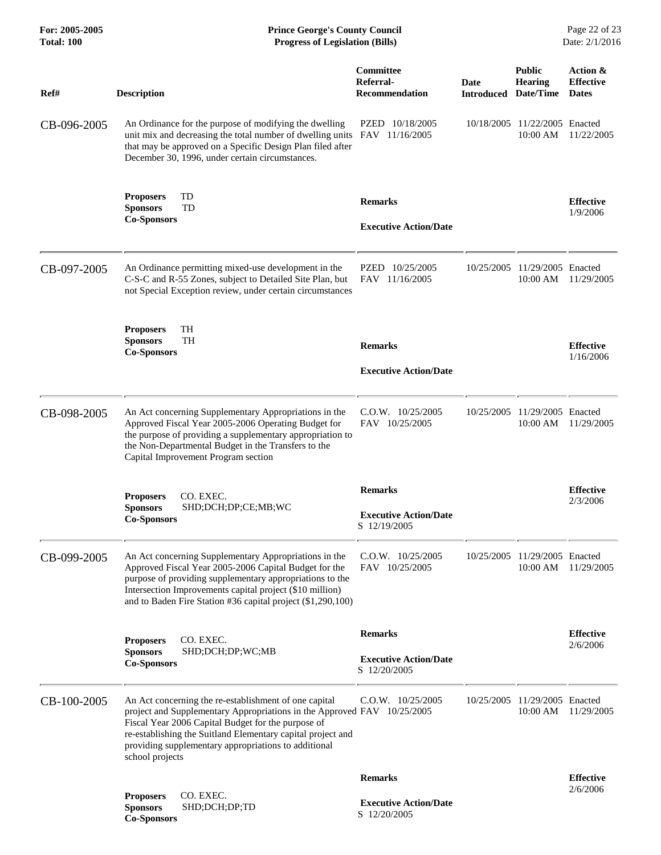| For: 2005-2005<br>Total: 100 | <b>Prince George's County Council</b><br><b>Progress of Legislation (Bills)</b>                                                                                                                                                                                                                                                  |                                                                |                           |                                              | Page 22 of 23<br>Date: 2/1/2016              |
|------------------------------|----------------------------------------------------------------------------------------------------------------------------------------------------------------------------------------------------------------------------------------------------------------------------------------------------------------------------------|----------------------------------------------------------------|---------------------------|----------------------------------------------|----------------------------------------------|
| Ref#                         | <b>Description</b>                                                                                                                                                                                                                                                                                                               | <b>Committee</b><br>Referral-<br><b>Recommendation</b>         | <b>Date</b><br>Introduced | <b>Public</b><br><b>Hearing</b><br>Date/Time | Action &<br><b>Effective</b><br><b>Dates</b> |
| CB-096-2005                  | An Ordinance for the purpose of modifying the dwelling<br>unit mix and decreasing the total number of dwelling units FAV 11/16/2005<br>that may be approved on a Specific Design Plan filed after<br>December 30, 1996, under certain circumstances.                                                                             | PZED 10/18/2005                                                | 10/18/2005                | 11/22/2005 Enacted<br>10:00 AM               | 11/22/2005                                   |
|                              | TD<br><b>Proposers</b><br><b>Sponsors</b><br>TD<br><b>Co-Sponsors</b>                                                                                                                                                                                                                                                            | <b>Remarks</b><br><b>Executive Action/Date</b>                 |                           |                                              | <b>Effective</b><br>1/9/2006                 |
| CB-097-2005                  | An Ordinance permitting mixed-use development in the<br>C-S-C and R-55 Zones, subject to Detailed Site Plan, but<br>not Special Exception review, under certain circumstances                                                                                                                                                    | PZED 10/25/2005<br>FAV 11/16/2005                              | 10/25/2005                | 11/29/2005 Enacted<br>10:00 AM               | 11/29/2005                                   |
|                              | TH<br><b>Proposers</b><br><b>Sponsors</b><br><b>TH</b><br><b>Co-Sponsors</b>                                                                                                                                                                                                                                                     | <b>Remarks</b><br><b>Executive Action/Date</b>                 |                           |                                              | <b>Effective</b><br>1/16/2006                |
| CB-098-2005                  | An Act concerning Supplementary Appropriations in the<br>Approved Fiscal Year 2005-2006 Operating Budget for<br>the purpose of providing a supplementary appropriation to<br>the Non-Departmental Budget in the Transfers to the<br>Capital Improvement Program section                                                          | $C.0.W.$ $10/25/2005$<br>FAV 10/25/2005                        | 10/25/2005                | 11/29/2005 Enacted<br>10:00 AM               | 11/29/2005                                   |
|                              | CO. EXEC.<br><b>Proposers</b><br><b>Sponsors</b><br>SHD;DCH;DP;CE;MB;WC<br><b>Co-Sponsors</b>                                                                                                                                                                                                                                    | <b>Remarks</b><br><b>Executive Action/Date</b><br>S 12/19/2005 |                           |                                              | <b>Effective</b><br>2/3/2006                 |
| CB-099-2005                  | An Act concerning Supplementary Appropriations in the<br>Approved Fiscal Year 2005-2006 Capital Budget for the<br>purpose of providing supplementary appropriations to the<br>Intersection Improvements capital project (\$10 million)<br>and to Baden Fire Station #36 capital project (\$1,290,100)                            | $C.0.W.$ 10/25/2005<br>FAV 10/25/2005                          |                           | 10/25/2005 11/29/2005 Enacted<br>10:00 AM    | 11/29/2005                                   |
|                              | CO. EXEC.<br><b>Proposers</b><br><b>Sponsors</b><br>SHD;DCH;DP;WC;MB<br><b>Co-Sponsors</b>                                                                                                                                                                                                                                       | <b>Remarks</b><br><b>Executive Action/Date</b><br>S 12/20/2005 |                           |                                              | <b>Effective</b><br>2/6/2006                 |
| CB-100-2005                  | An Act concerning the re-establishment of one capital<br>project and Supplementary Appropriations in the Approved FAV 10/25/2005<br>Fiscal Year 2006 Capital Budget for the purpose of<br>re-establishing the Suitland Elementary capital project and<br>providing supplementary appropriations to additional<br>school projects | $C.0.W.$ $10/25/2005$                                          |                           | 10/25/2005 11/29/2005 Enacted<br>10:00 AM    | 11/29/2005                                   |
|                              |                                                                                                                                                                                                                                                                                                                                  | <b>Remarks</b>                                                 |                           |                                              | <b>Effective</b><br>2/6/2006                 |
|                              | CO. EXEC.<br><b>Proposers</b><br><b>Sponsors</b><br>SHD;DCH;DP;TD<br><b>Co-Sponsors</b>                                                                                                                                                                                                                                          | <b>Executive Action/Date</b><br>S 12/20/2005                   |                           |                                              |                                              |